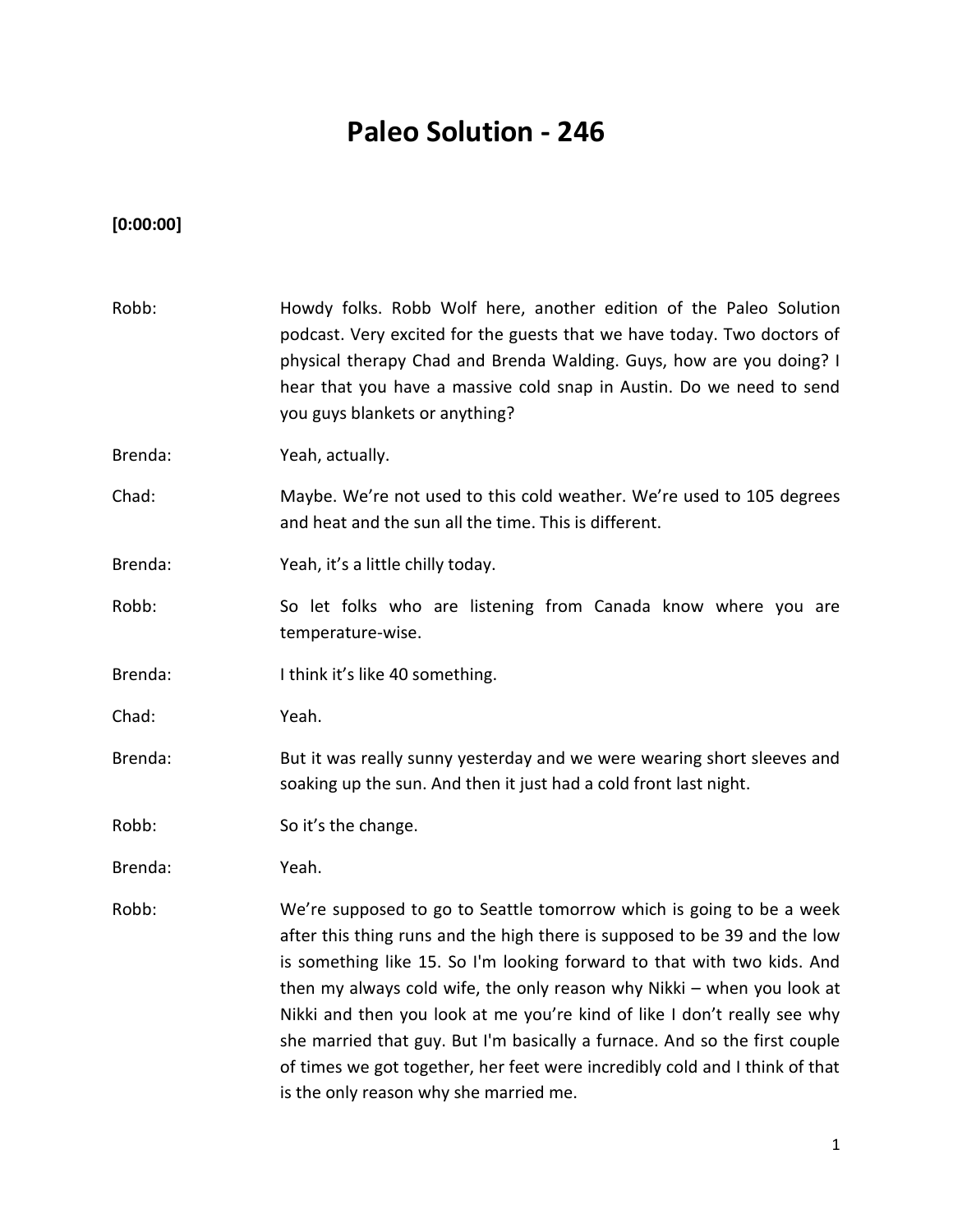# **Paleo Solution - 246**

## **[0:00:00]**

| Robb:   | Howdy folks. Robb Wolf here, another edition of the Paleo Solution<br>podcast. Very excited for the guests that we have today. Two doctors of<br>physical therapy Chad and Brenda Walding. Guys, how are you doing? I<br>hear that you have a massive cold snap in Austin. Do we need to send<br>you guys blankets or anything?                                                                                                                                                                                                                                                           |
|---------|-------------------------------------------------------------------------------------------------------------------------------------------------------------------------------------------------------------------------------------------------------------------------------------------------------------------------------------------------------------------------------------------------------------------------------------------------------------------------------------------------------------------------------------------------------------------------------------------|
| Brenda: | Yeah, actually.                                                                                                                                                                                                                                                                                                                                                                                                                                                                                                                                                                           |
| Chad:   | Maybe. We're not used to this cold weather. We're used to 105 degrees<br>and heat and the sun all the time. This is different.                                                                                                                                                                                                                                                                                                                                                                                                                                                            |
| Brenda: | Yeah, it's a little chilly today.                                                                                                                                                                                                                                                                                                                                                                                                                                                                                                                                                         |
| Robb:   | So let folks who are listening from Canada know where you are<br>temperature-wise.                                                                                                                                                                                                                                                                                                                                                                                                                                                                                                        |
| Brenda: | I think it's like 40 something.                                                                                                                                                                                                                                                                                                                                                                                                                                                                                                                                                           |
| Chad:   | Yeah.                                                                                                                                                                                                                                                                                                                                                                                                                                                                                                                                                                                     |
| Brenda: | But it was really sunny yesterday and we were wearing short sleeves and<br>soaking up the sun. And then it just had a cold front last night.                                                                                                                                                                                                                                                                                                                                                                                                                                              |
| Robb:   | So it's the change.                                                                                                                                                                                                                                                                                                                                                                                                                                                                                                                                                                       |
| Brenda: | Yeah.                                                                                                                                                                                                                                                                                                                                                                                                                                                                                                                                                                                     |
| Robb:   | We're supposed to go to Seattle tomorrow which is going to be a week<br>after this thing runs and the high there is supposed to be 39 and the low<br>is something like 15. So I'm looking forward to that with two kids. And<br>then my always cold wife, the only reason why Nikki - when you look at<br>Nikki and then you look at me you're kind of like I don't really see why<br>she married that guy. But I'm basically a furnace. And so the first couple<br>of times we got together, her feet were incredibly cold and I think of that<br>is the only reason why she married me. |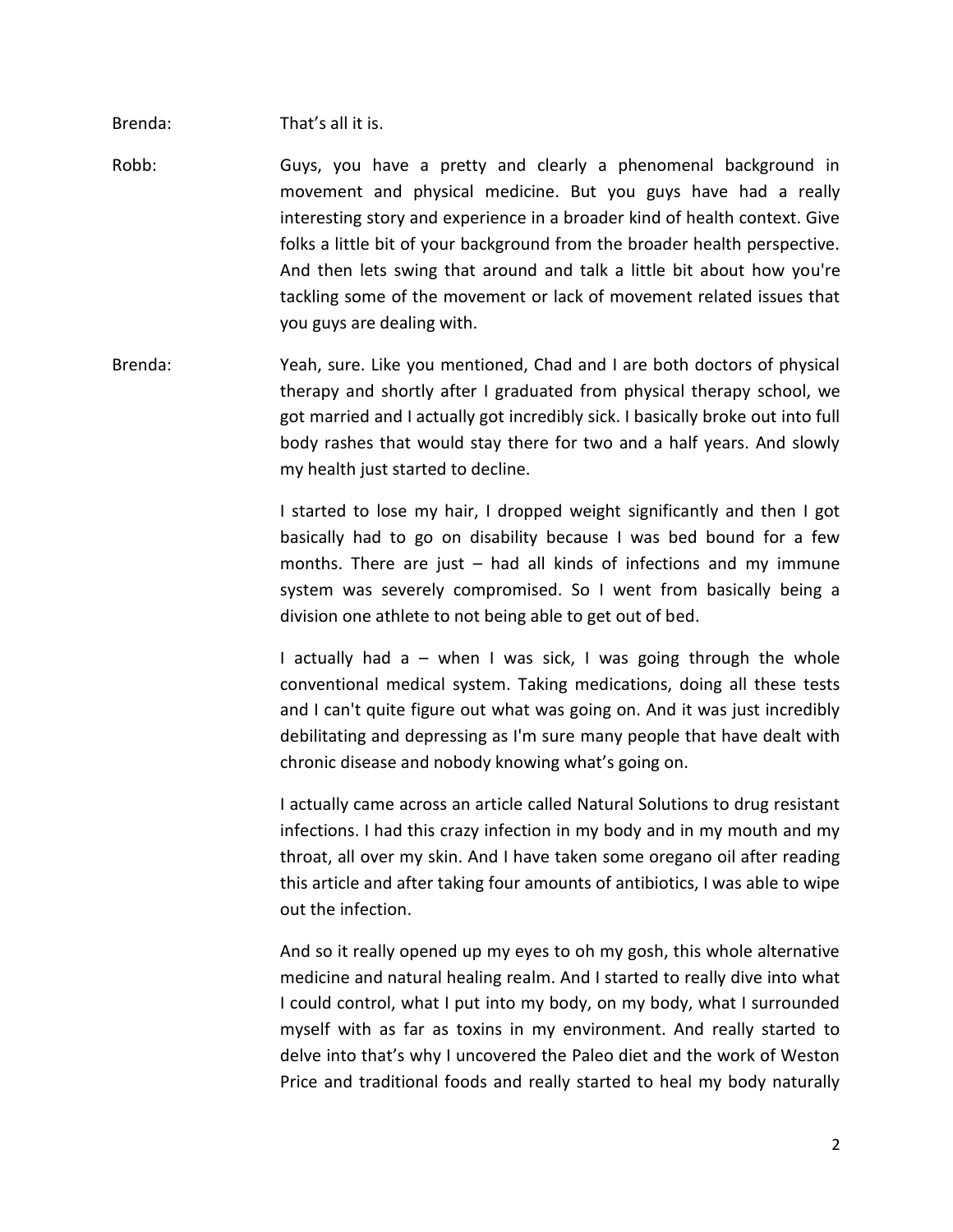Brenda: That's all it is.

- Robb: Guys, you have a pretty and clearly a phenomenal background in movement and physical medicine. But you guys have had a really interesting story and experience in a broader kind of health context. Give folks a little bit of your background from the broader health perspective. And then lets swing that around and talk a little bit about how you're tackling some of the movement or lack of movement related issues that you guys are dealing with.
- Brenda: Yeah, sure. Like you mentioned, Chad and I are both doctors of physical therapy and shortly after I graduated from physical therapy school, we got married and I actually got incredibly sick. I basically broke out into full body rashes that would stay there for two and a half years. And slowly my health just started to decline.

I started to lose my hair, I dropped weight significantly and then I got basically had to go on disability because I was bed bound for a few months. There are just – had all kinds of infections and my immune system was severely compromised. So I went from basically being a division one athlete to not being able to get out of bed.

I actually had  $a -$  when I was sick, I was going through the whole conventional medical system. Taking medications, doing all these tests and I can't quite figure out what was going on. And it was just incredibly debilitating and depressing as I'm sure many people that have dealt with chronic disease and nobody knowing what's going on.

I actually came across an article called Natural Solutions to drug resistant infections. I had this crazy infection in my body and in my mouth and my throat, all over my skin. And I have taken some oregano oil after reading this article and after taking four amounts of antibiotics, I was able to wipe out the infection.

And so it really opened up my eyes to oh my gosh, this whole alternative medicine and natural healing realm. And I started to really dive into what I could control, what I put into my body, on my body, what I surrounded myself with as far as toxins in my environment. And really started to delve into that's why I uncovered the Paleo diet and the work of Weston Price and traditional foods and really started to heal my body naturally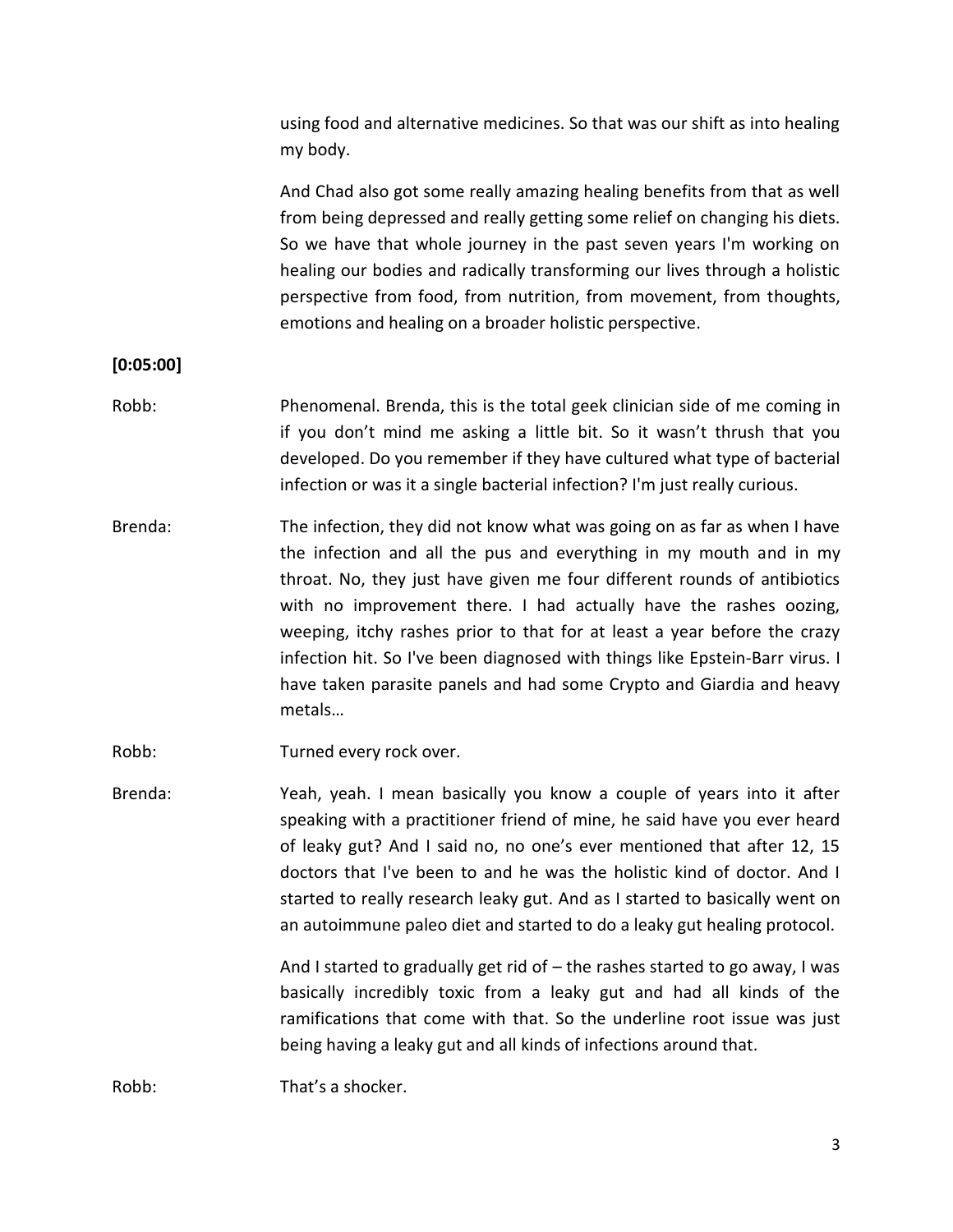| using food and alternative medicines. So that was our shift as into healing |  |
|-----------------------------------------------------------------------------|--|
| my body.                                                                    |  |

And Chad also got some really amazing healing benefits from that as well from being depressed and really getting some relief on changing his diets. So we have that whole journey in the past seven years I'm working on healing our bodies and radically transforming our lives through a holistic perspective from food, from nutrition, from movement, from thoughts, emotions and healing on a broader holistic perspective.

#### **[0:05:00]**

- Robb: Phenomenal. Brenda, this is the total geek clinician side of me coming in if you don't mind me asking a little bit. So it wasn't thrush that you developed. Do you remember if they have cultured what type of bacterial infection or was it a single bacterial infection? I'm just really curious.
- Brenda: The infection, they did not know what was going on as far as when I have the infection and all the pus and everything in my mouth and in my throat. No, they just have given me four different rounds of antibiotics with no improvement there. I had actually have the rashes oozing, weeping, itchy rashes prior to that for at least a year before the crazy infection hit. So I've been diagnosed with things like Epstein-Barr virus. I have taken parasite panels and had some Crypto and Giardia and heavy metals…
- Robb: Turned every rock over.
- Brenda: Yeah, yeah. I mean basically you know a couple of years into it after speaking with a practitioner friend of mine, he said have you ever heard of leaky gut? And I said no, no one's ever mentioned that after 12, 15 doctors that I've been to and he was the holistic kind of doctor. And I started to really research leaky gut. And as I started to basically went on an autoimmune paleo diet and started to do a leaky gut healing protocol.

And I started to gradually get rid of – the rashes started to go away, I was basically incredibly toxic from a leaky gut and had all kinds of the ramifications that come with that. So the underline root issue was just being having a leaky gut and all kinds of infections around that.

Robb: That's a shocker.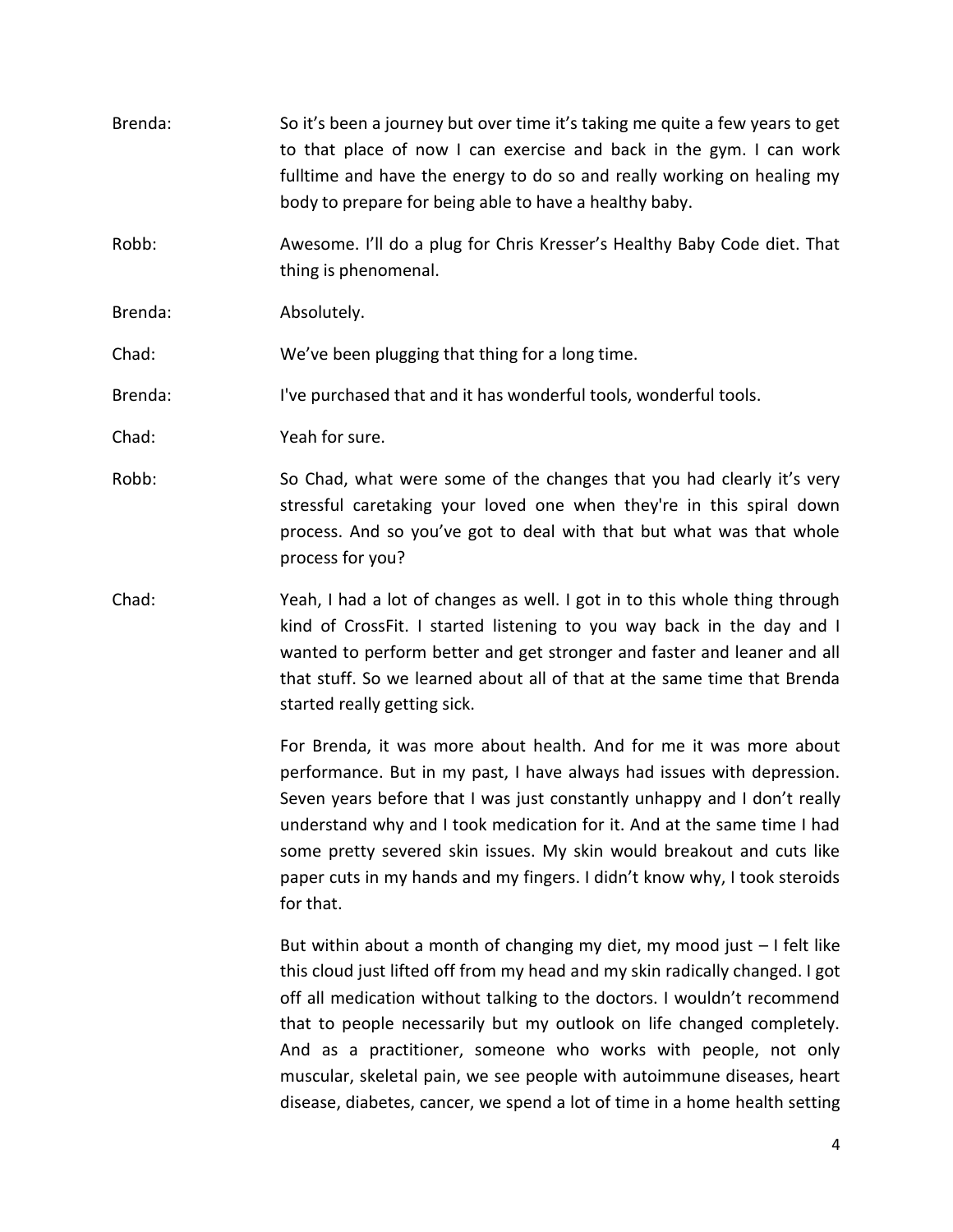Brenda: So it's been a journey but over time it's taking me quite a few years to get to that place of now I can exercise and back in the gym. I can work fulltime and have the energy to do so and really working on healing my body to prepare for being able to have a healthy baby. Robb: Awesome. I'll do a plug for Chris Kresser's Healthy Baby Code diet. That thing is phenomenal. Brenda: Absolutely. Chad: We've been plugging that thing for a long time. Brenda: I've purchased that and it has wonderful tools, wonderful tools. Chad: Yeah for sure. Robb: So Chad, what were some of the changes that you had clearly it's very stressful caretaking your loved one when they're in this spiral down process. And so you've got to deal with that but what was that whole process for you? Chad: Yeah, I had a lot of changes as well. I got in to this whole thing through kind of CrossFit. I started listening to you way back in the day and I wanted to perform better and get stronger and faster and leaner and all that stuff. So we learned about all of that at the same time that Brenda started really getting sick.

> For Brenda, it was more about health. And for me it was more about performance. But in my past, I have always had issues with depression. Seven years before that I was just constantly unhappy and I don't really understand why and I took medication for it. And at the same time I had some pretty severed skin issues. My skin would breakout and cuts like paper cuts in my hands and my fingers. I didn't know why, I took steroids for that.

> But within about a month of changing my diet, my mood just – I felt like this cloud just lifted off from my head and my skin radically changed. I got off all medication without talking to the doctors. I wouldn't recommend that to people necessarily but my outlook on life changed completely. And as a practitioner, someone who works with people, not only muscular, skeletal pain, we see people with autoimmune diseases, heart disease, diabetes, cancer, we spend a lot of time in a home health setting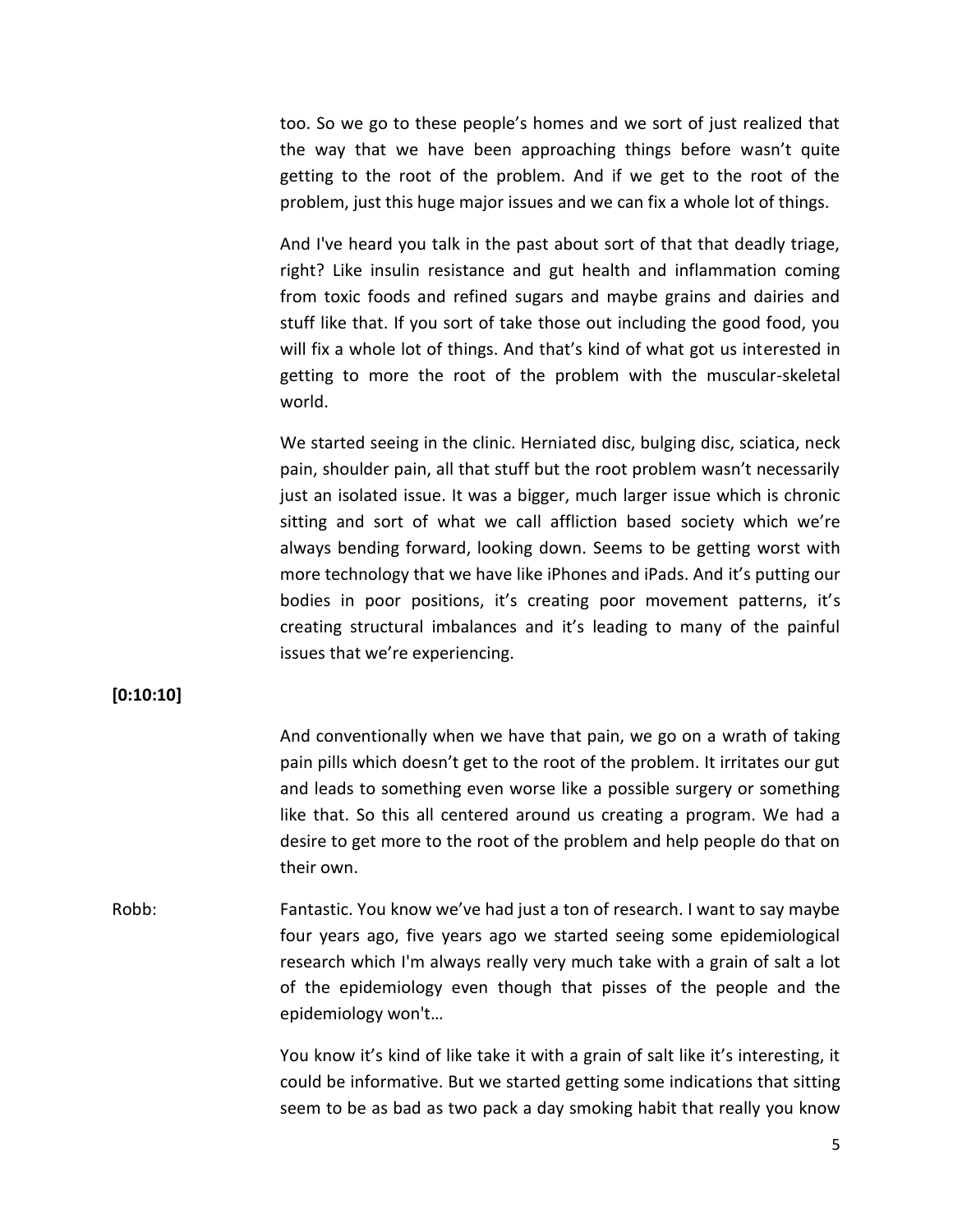too. So we go to these people's homes and we sort of just realized that the way that we have been approaching things before wasn't quite getting to the root of the problem. And if we get to the root of the problem, just this huge major issues and we can fix a whole lot of things.

And I've heard you talk in the past about sort of that that deadly triage, right? Like insulin resistance and gut health and inflammation coming from toxic foods and refined sugars and maybe grains and dairies and stuff like that. If you sort of take those out including the good food, you will fix a whole lot of things. And that's kind of what got us interested in getting to more the root of the problem with the muscular-skeletal world.

We started seeing in the clinic. Herniated disc, bulging disc, sciatica, neck pain, shoulder pain, all that stuff but the root problem wasn't necessarily just an isolated issue. It was a bigger, much larger issue which is chronic sitting and sort of what we call affliction based society which we're always bending forward, looking down. Seems to be getting worst with more technology that we have like iPhones and iPads. And it's putting our bodies in poor positions, it's creating poor movement patterns, it's creating structural imbalances and it's leading to many of the painful issues that we're experiencing.

#### **[0:10:10]**

And conventionally when we have that pain, we go on a wrath of taking pain pills which doesn't get to the root of the problem. It irritates our gut and leads to something even worse like a possible surgery or something like that. So this all centered around us creating a program. We had a desire to get more to the root of the problem and help people do that on their own.

Robb: Fantastic. You know we've had just a ton of research. I want to say maybe four years ago, five years ago we started seeing some epidemiological research which I'm always really very much take with a grain of salt a lot of the epidemiology even though that pisses of the people and the epidemiology won't…

> You know it's kind of like take it with a grain of salt like it's interesting, it could be informative. But we started getting some indications that sitting seem to be as bad as two pack a day smoking habit that really you know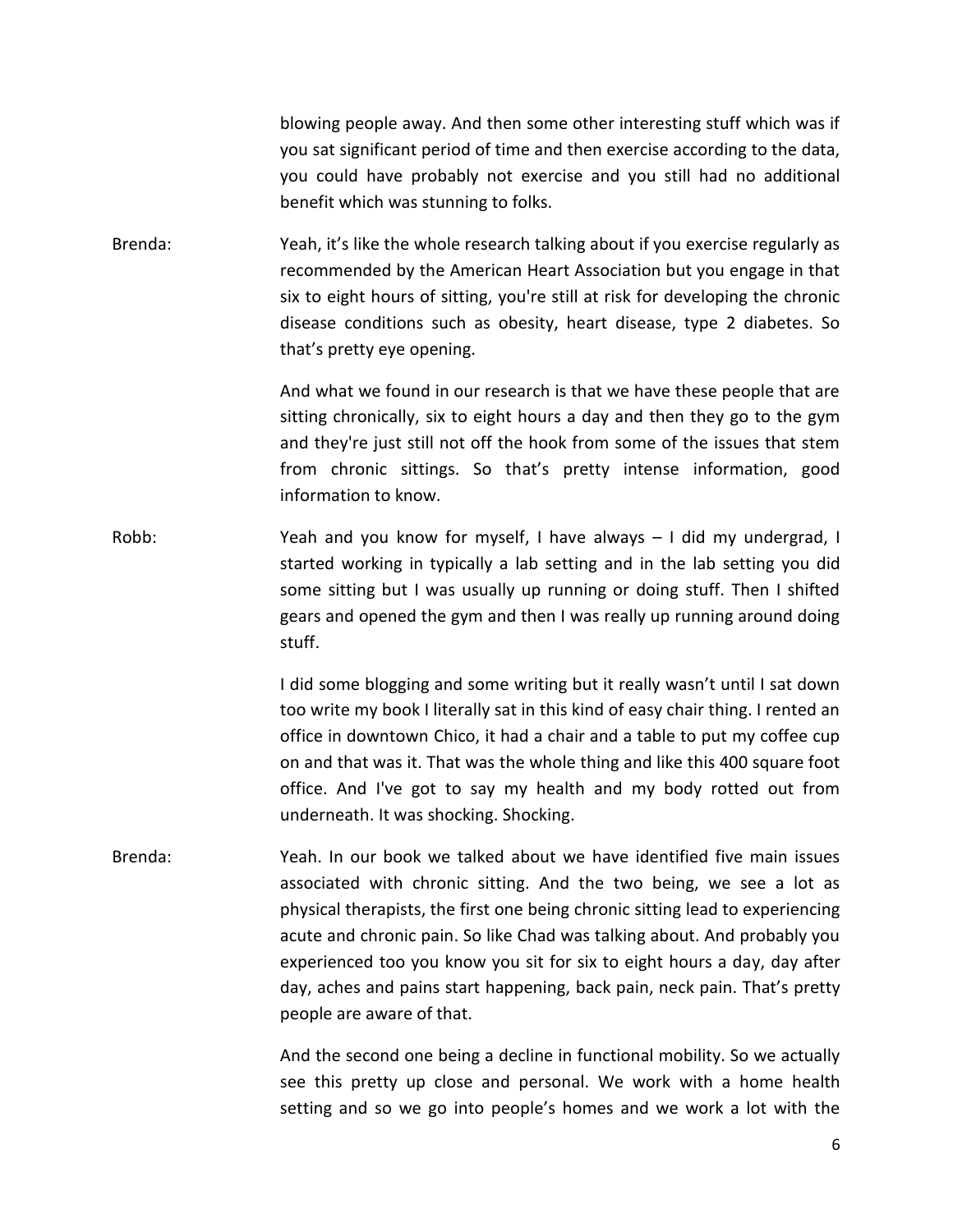blowing people away. And then some other interesting stuff which was if you sat significant period of time and then exercise according to the data, you could have probably not exercise and you still had no additional benefit which was stunning to folks.

Brenda: Yeah, it's like the whole research talking about if you exercise regularly as recommended by the American Heart Association but you engage in that six to eight hours of sitting, you're still at risk for developing the chronic disease conditions such as obesity, heart disease, type 2 diabetes. So that's pretty eye opening.

> And what we found in our research is that we have these people that are sitting chronically, six to eight hours a day and then they go to the gym and they're just still not off the hook from some of the issues that stem from chronic sittings. So that's pretty intense information, good information to know.

Robb: Yeah and you know for myself, I have always - I did my undergrad, I started working in typically a lab setting and in the lab setting you did some sitting but I was usually up running or doing stuff. Then I shifted gears and opened the gym and then I was really up running around doing stuff.

> I did some blogging and some writing but it really wasn't until I sat down too write my book I literally sat in this kind of easy chair thing. I rented an office in downtown Chico, it had a chair and a table to put my coffee cup on and that was it. That was the whole thing and like this 400 square foot office. And I've got to say my health and my body rotted out from underneath. It was shocking. Shocking.

Brenda: Yeah. In our book we talked about we have identified five main issues associated with chronic sitting. And the two being, we see a lot as physical therapists, the first one being chronic sitting lead to experiencing acute and chronic pain. So like Chad was talking about. And probably you experienced too you know you sit for six to eight hours a day, day after day, aches and pains start happening, back pain, neck pain. That's pretty people are aware of that.

> And the second one being a decline in functional mobility. So we actually see this pretty up close and personal. We work with a home health setting and so we go into people's homes and we work a lot with the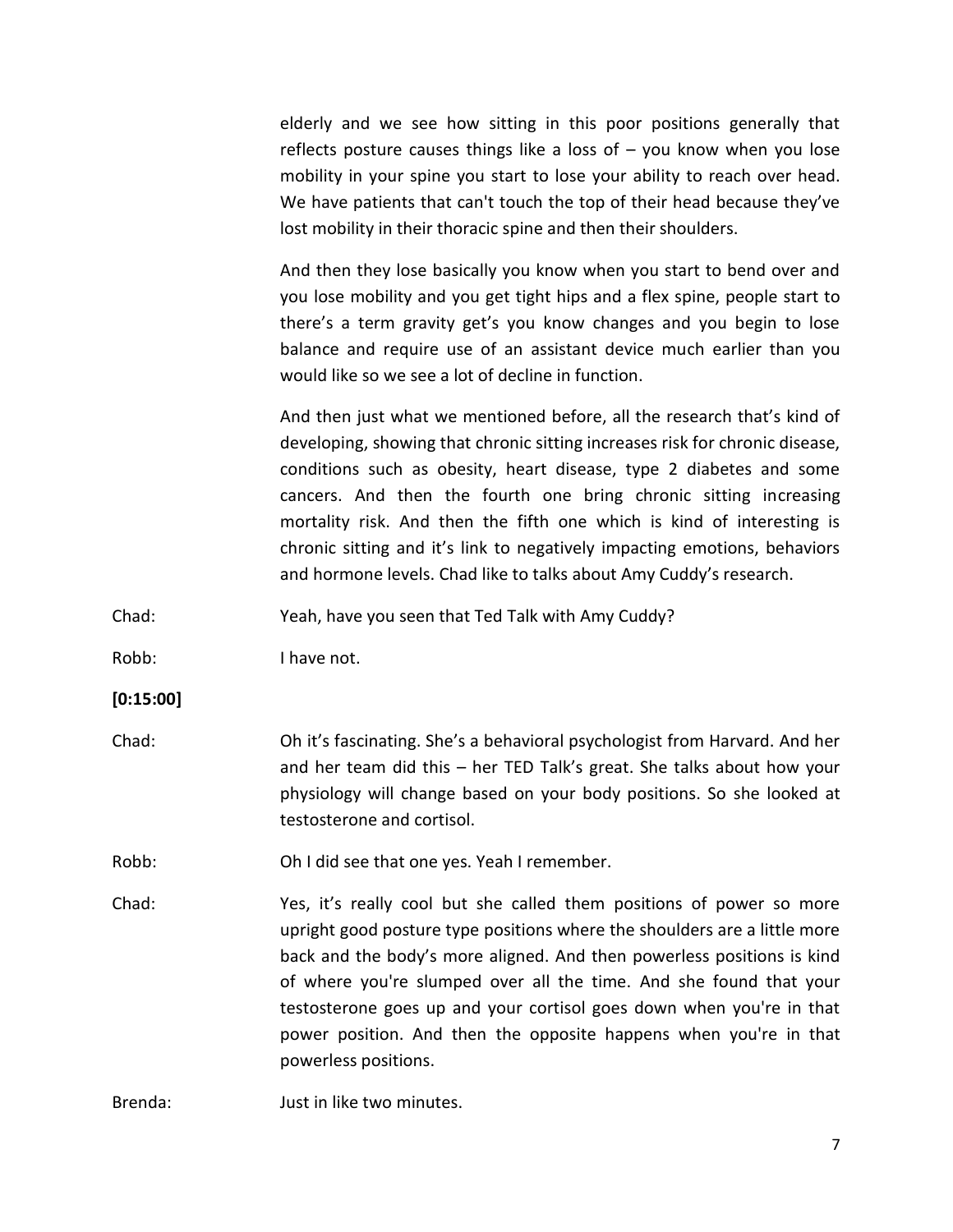elderly and we see how sitting in this poor positions generally that reflects posture causes things like a loss of – you know when you lose mobility in your spine you start to lose your ability to reach over head. We have patients that can't touch the top of their head because they've lost mobility in their thoracic spine and then their shoulders.

And then they lose basically you know when you start to bend over and you lose mobility and you get tight hips and a flex spine, people start to there's a term gravity get's you know changes and you begin to lose balance and require use of an assistant device much earlier than you would like so we see a lot of decline in function.

And then just what we mentioned before, all the research that's kind of developing, showing that chronic sitting increases risk for chronic disease, conditions such as obesity, heart disease, type 2 diabetes and some cancers. And then the fourth one bring chronic sitting increasing mortality risk. And then the fifth one which is kind of interesting is chronic sitting and it's link to negatively impacting emotions, behaviors and hormone levels. Chad like to talks about Amy Cuddy's research.

Chad: Yeah, have you seen that Ted Talk with Amy Cuddy?

Robb: I have not.

**[0:15:00]**

Chad: Oh it's fascinating. She's a behavioral psychologist from Harvard. And her and her team did this – her TED Talk's great. She talks about how your physiology will change based on your body positions. So she looked at testosterone and cortisol.

Robb: Oh I did see that one yes. Yeah I remember.

Chad: Yes, it's really cool but she called them positions of power so more upright good posture type positions where the shoulders are a little more back and the body's more aligned. And then powerless positions is kind of where you're slumped over all the time. And she found that your testosterone goes up and your cortisol goes down when you're in that power position. And then the opposite happens when you're in that powerless positions.

Brenda: Just in like two minutes.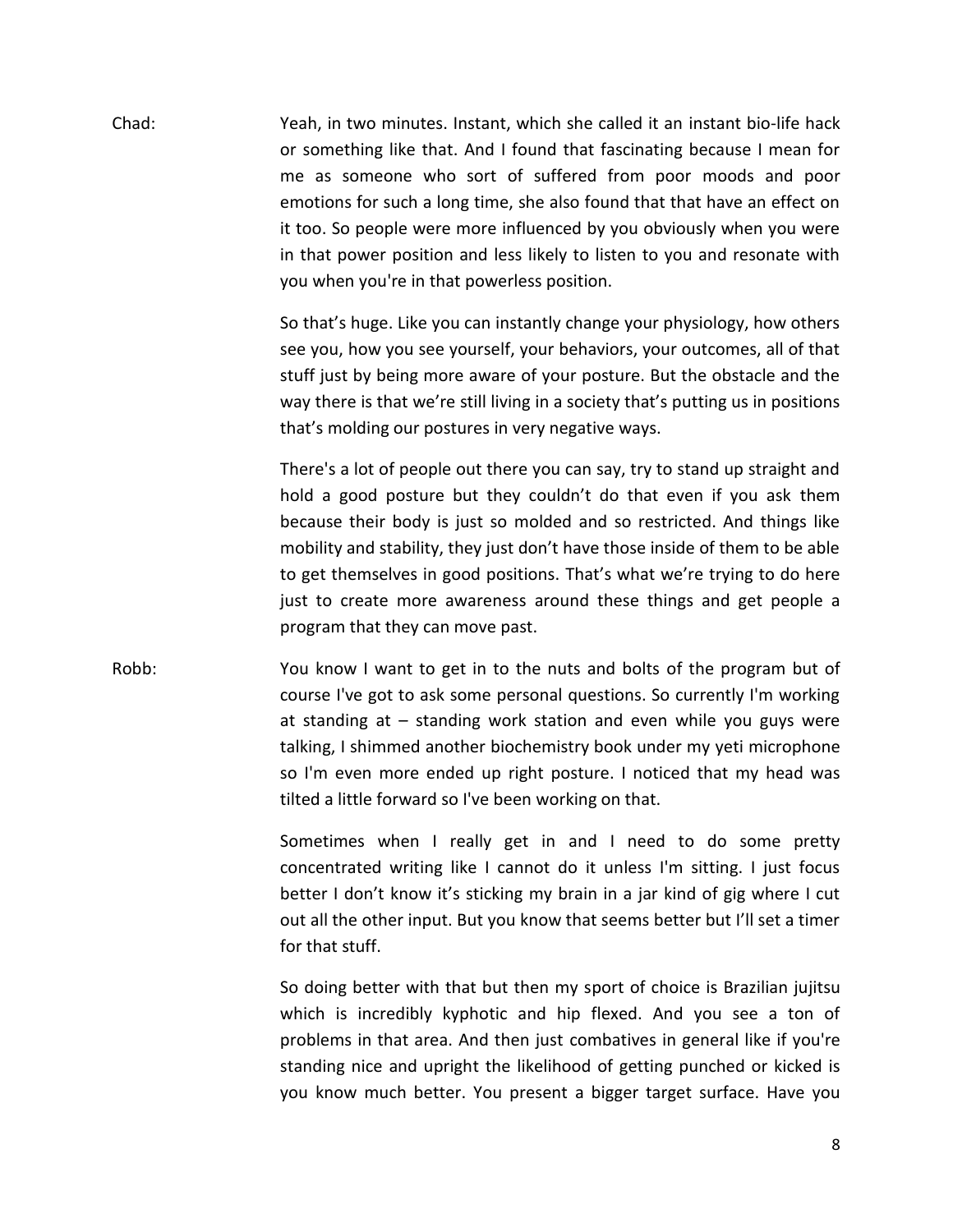Chad: Yeah, in two minutes. Instant, which she called it an instant bio-life hack or something like that. And I found that fascinating because I mean for me as someone who sort of suffered from poor moods and poor emotions for such a long time, she also found that that have an effect on it too. So people were more influenced by you obviously when you were in that power position and less likely to listen to you and resonate with you when you're in that powerless position.

> So that's huge. Like you can instantly change your physiology, how others see you, how you see yourself, your behaviors, your outcomes, all of that stuff just by being more aware of your posture. But the obstacle and the way there is that we're still living in a society that's putting us in positions that's molding our postures in very negative ways.

> There's a lot of people out there you can say, try to stand up straight and hold a good posture but they couldn't do that even if you ask them because their body is just so molded and so restricted. And things like mobility and stability, they just don't have those inside of them to be able to get themselves in good positions. That's what we're trying to do here just to create more awareness around these things and get people a program that they can move past.

Robb: You know I want to get in to the nuts and bolts of the program but of course I've got to ask some personal questions. So currently I'm working at standing at – standing work station and even while you guys were talking, I shimmed another biochemistry book under my yeti microphone so I'm even more ended up right posture. I noticed that my head was tilted a little forward so I've been working on that.

> Sometimes when I really get in and I need to do some pretty concentrated writing like I cannot do it unless I'm sitting. I just focus better I don't know it's sticking my brain in a jar kind of gig where I cut out all the other input. But you know that seems better but I'll set a timer for that stuff.

> So doing better with that but then my sport of choice is Brazilian jujitsu which is incredibly kyphotic and hip flexed. And you see a ton of problems in that area. And then just combatives in general like if you're standing nice and upright the likelihood of getting punched or kicked is you know much better. You present a bigger target surface. Have you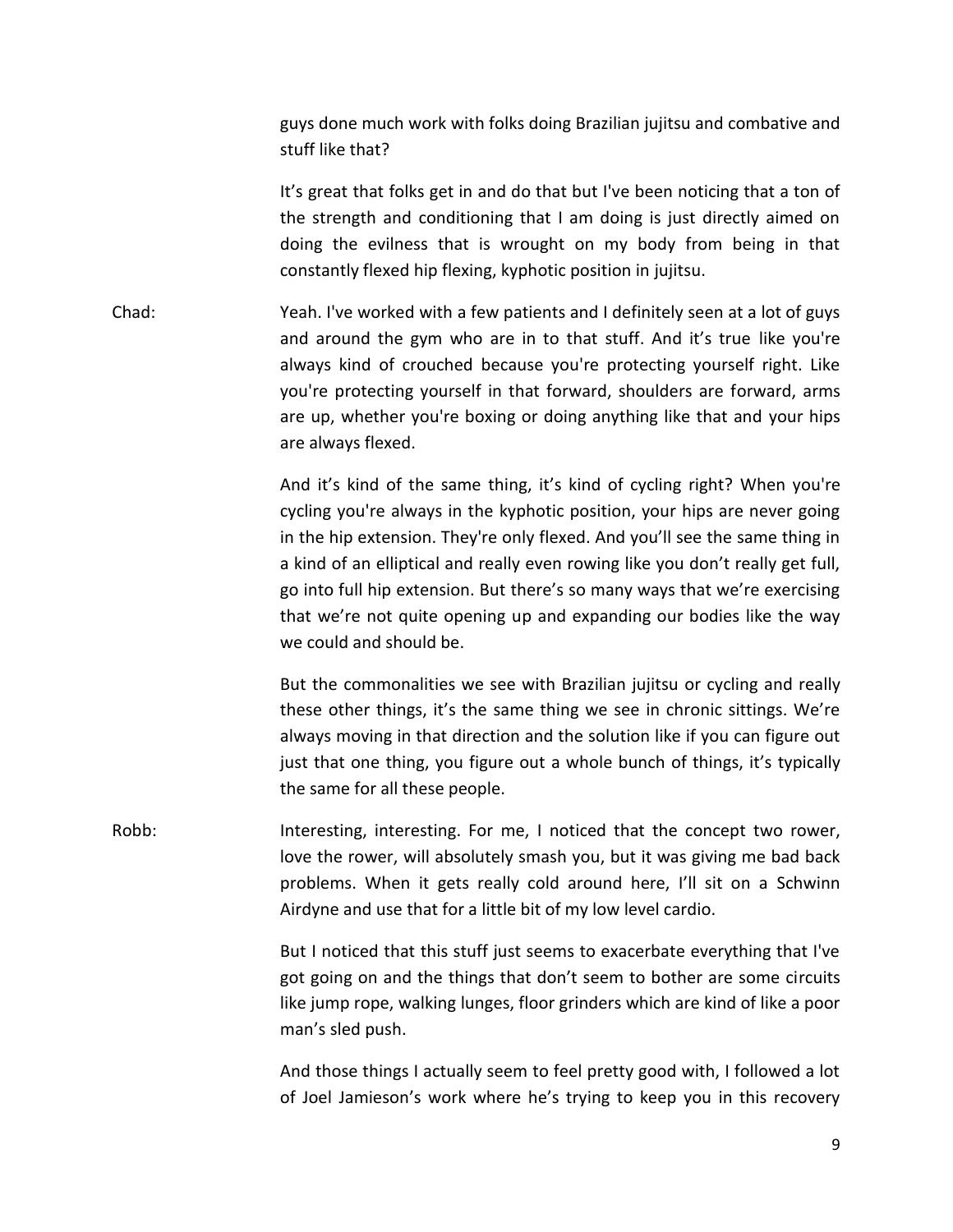guys done much work with folks doing Brazilian jujitsu and combative and stuff like that?

It's great that folks get in and do that but I've been noticing that a ton of the strength and conditioning that I am doing is just directly aimed on doing the evilness that is wrought on my body from being in that constantly flexed hip flexing, kyphotic position in jujitsu.

Chad: Yeah. I've worked with a few patients and I definitely seen at a lot of guys and around the gym who are in to that stuff. And it's true like you're always kind of crouched because you're protecting yourself right. Like you're protecting yourself in that forward, shoulders are forward, arms are up, whether you're boxing or doing anything like that and your hips are always flexed.

> And it's kind of the same thing, it's kind of cycling right? When you're cycling you're always in the kyphotic position, your hips are never going in the hip extension. They're only flexed. And you'll see the same thing in a kind of an elliptical and really even rowing like you don't really get full, go into full hip extension. But there's so many ways that we're exercising that we're not quite opening up and expanding our bodies like the way we could and should be.

> But the commonalities we see with Brazilian jujitsu or cycling and really these other things, it's the same thing we see in chronic sittings. We're always moving in that direction and the solution like if you can figure out just that one thing, you figure out a whole bunch of things, it's typically the same for all these people.

Robb: Interesting, interesting. For me, I noticed that the concept two rower, love the rower, will absolutely smash you, but it was giving me bad back problems. When it gets really cold around here, I'll sit on a Schwinn Airdyne and use that for a little bit of my low level cardio.

> But I noticed that this stuff just seems to exacerbate everything that I've got going on and the things that don't seem to bother are some circuits like jump rope, walking lunges, floor grinders which are kind of like a poor man's sled push.

> And those things I actually seem to feel pretty good with, I followed a lot of Joel Jamieson's work where he's trying to keep you in this recovery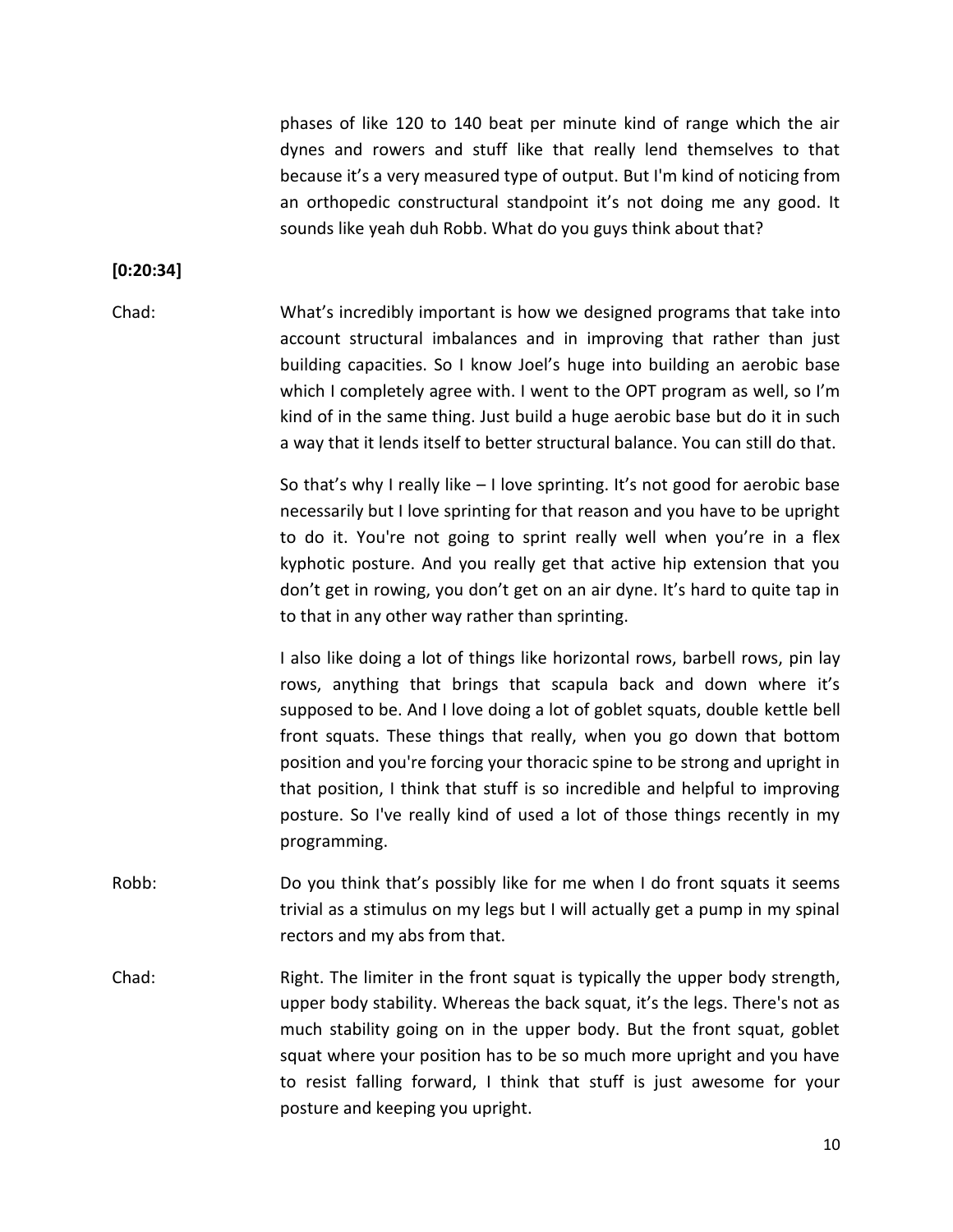phases of like 120 to 140 beat per minute kind of range which the air dynes and rowers and stuff like that really lend themselves to that because it's a very measured type of output. But I'm kind of noticing from an orthopedic constructural standpoint it's not doing me any good. It sounds like yeah duh Robb. What do you guys think about that?

#### **[0:20:34]**

Chad: What's incredibly important is how we designed programs that take into account structural imbalances and in improving that rather than just building capacities. So I know Joel's huge into building an aerobic base which I completely agree with. I went to the OPT program as well, so I'm kind of in the same thing. Just build a huge aerobic base but do it in such a way that it lends itself to better structural balance. You can still do that.

> So that's why I really like – I love sprinting. It's not good for aerobic base necessarily but I love sprinting for that reason and you have to be upright to do it. You're not going to sprint really well when you're in a flex kyphotic posture. And you really get that active hip extension that you don't get in rowing, you don't get on an air dyne. It's hard to quite tap in to that in any other way rather than sprinting.

> I also like doing a lot of things like horizontal rows, barbell rows, pin lay rows, anything that brings that scapula back and down where it's supposed to be. And I love doing a lot of goblet squats, double kettle bell front squats. These things that really, when you go down that bottom position and you're forcing your thoracic spine to be strong and upright in that position, I think that stuff is so incredible and helpful to improving posture. So I've really kind of used a lot of those things recently in my programming.

- Robb: Do you think that's possibly like for me when I do front squats it seems trivial as a stimulus on my legs but I will actually get a pump in my spinal rectors and my abs from that.
- Chad: Right. The limiter in the front squat is typically the upper body strength, upper body stability. Whereas the back squat, it's the legs. There's not as much stability going on in the upper body. But the front squat, goblet squat where your position has to be so much more upright and you have to resist falling forward, I think that stuff is just awesome for your posture and keeping you upright.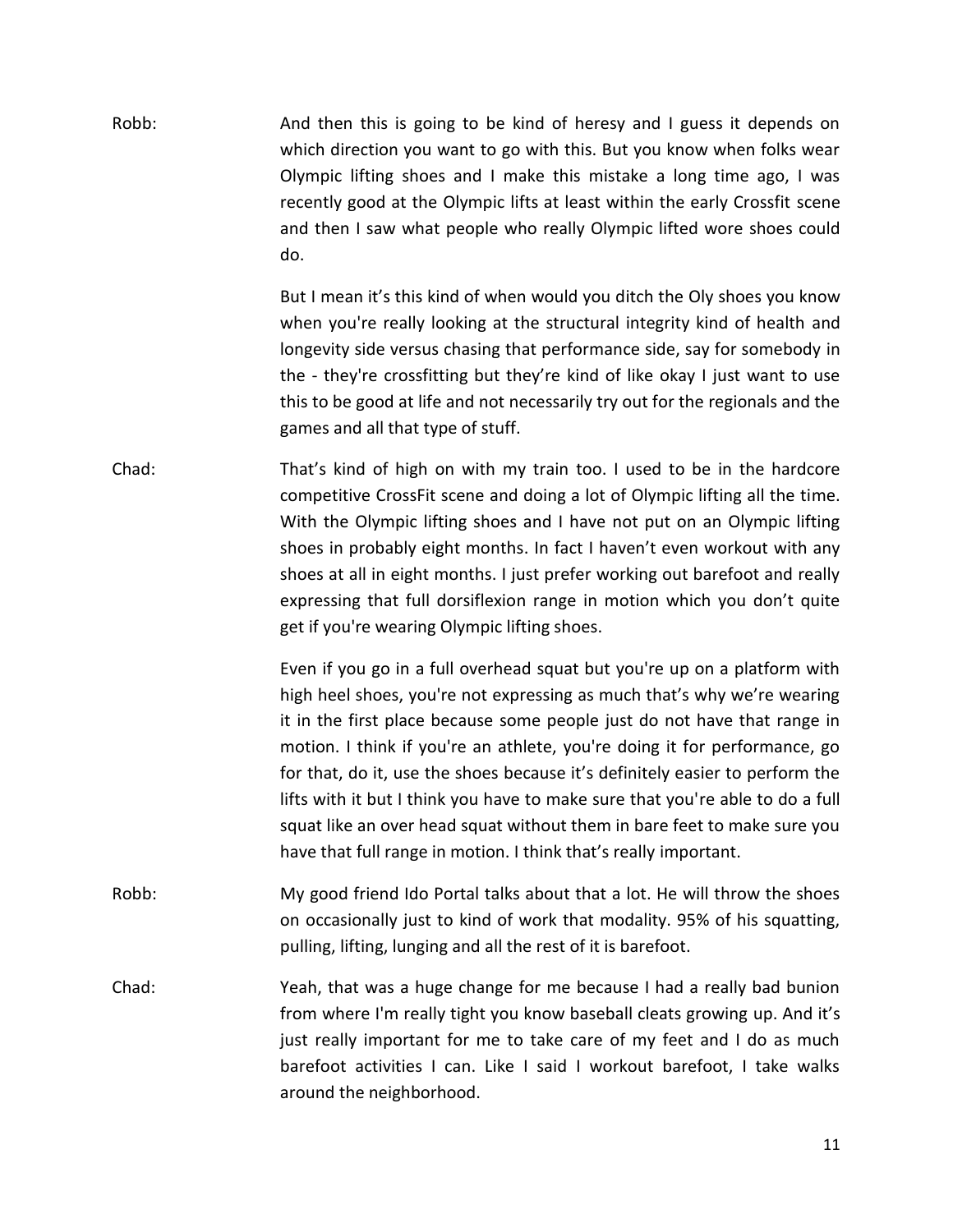| Robb: | And then this is going to be kind of heresy and I guess it depends on<br>which direction you want to go with this. But you know when folks wear<br>Olympic lifting shoes and I make this mistake a long time ago, I was<br>recently good at the Olympic lifts at least within the early Crossfit scene<br>and then I saw what people who really Olympic lifted wore shoes could<br>do.                                                                                                                                                                                                                                        |
|-------|-------------------------------------------------------------------------------------------------------------------------------------------------------------------------------------------------------------------------------------------------------------------------------------------------------------------------------------------------------------------------------------------------------------------------------------------------------------------------------------------------------------------------------------------------------------------------------------------------------------------------------|
|       | But I mean it's this kind of when would you ditch the Oly shoes you know<br>when you're really looking at the structural integrity kind of health and<br>longevity side versus chasing that performance side, say for somebody in<br>the - they're crossfitting but they're kind of like okay I just want to use<br>this to be good at life and not necessarily try out for the regionals and the<br>games and all that type of stuff.                                                                                                                                                                                        |
| Chad: | That's kind of high on with my train too. I used to be in the hardcore<br>competitive CrossFit scene and doing a lot of Olympic lifting all the time.<br>With the Olympic lifting shoes and I have not put on an Olympic lifting<br>shoes in probably eight months. In fact I haven't even workout with any<br>shoes at all in eight months. I just prefer working out barefoot and really<br>expressing that full dorsiflexion range in motion which you don't quite<br>get if you're wearing Olympic lifting shoes.                                                                                                         |
|       | Even if you go in a full overhead squat but you're up on a platform with<br>high heel shoes, you're not expressing as much that's why we're wearing<br>it in the first place because some people just do not have that range in<br>motion. I think if you're an athlete, you're doing it for performance, go<br>for that, do it, use the shoes because it's definitely easier to perform the<br>lifts with it but I think you have to make sure that you're able to do a full<br>squat like an over head squat without them in bare feet to make sure you<br>have that full range in motion. I think that's really important. |
| Robb: | My good friend Ido Portal talks about that a lot. He will throw the shoes<br>on occasionally just to kind of work that modality. 95% of his squatting,<br>pulling, lifting, lunging and all the rest of it is barefoot.                                                                                                                                                                                                                                                                                                                                                                                                       |
| Chad: | Yeah, that was a huge change for me because I had a really bad bunion<br>from where I'm really tight you know baseball cleats growing up. And it's<br>just really important for me to take care of my feet and I do as much<br>barefoot activities I can. Like I said I workout barefoot, I take walks<br>around the neighborhood.                                                                                                                                                                                                                                                                                            |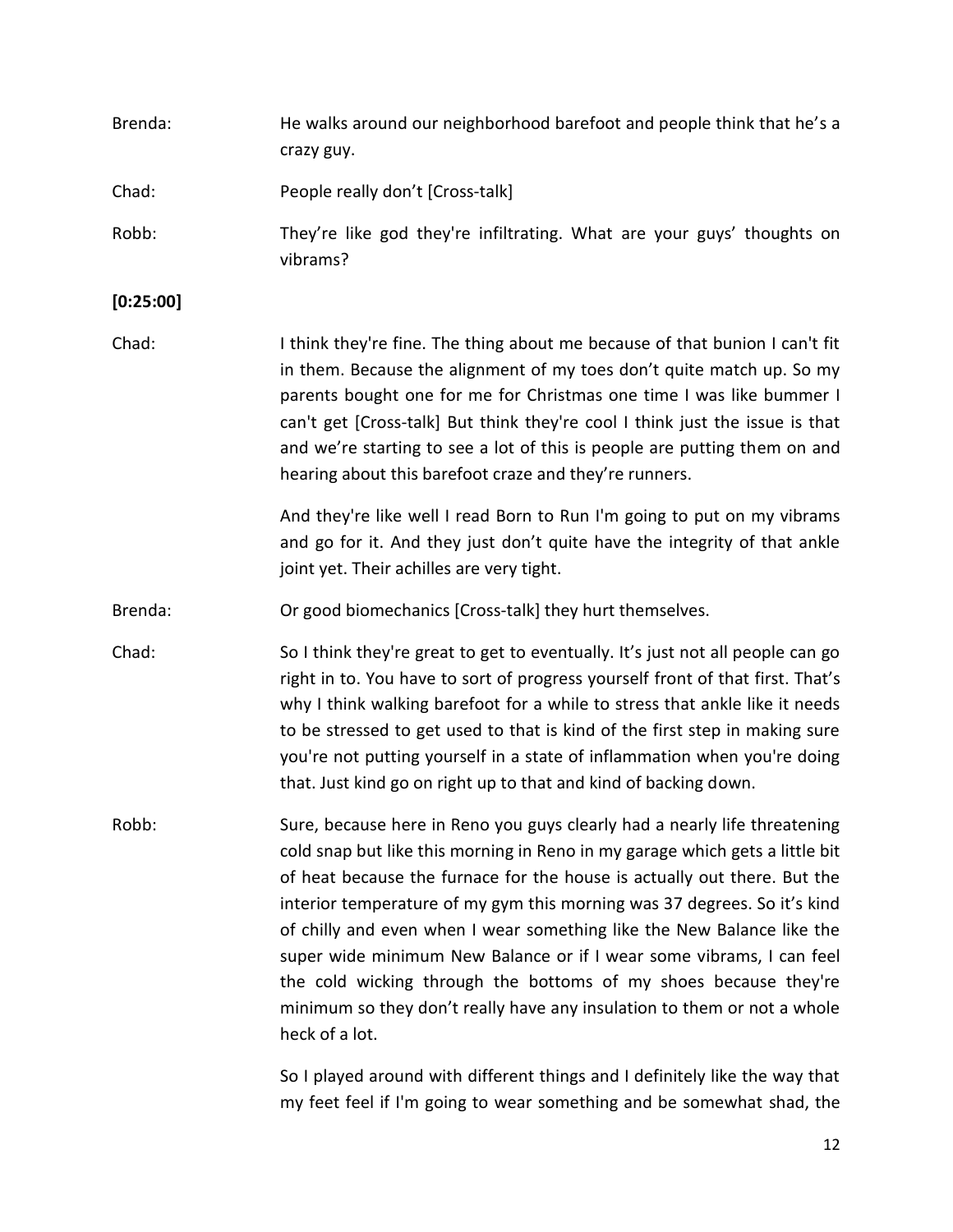| Brenda:   | He walks around our neighborhood barefoot and people think that he's a<br>crazy guy.                                                                                                                                                                                                                                                                                                                                                                                                                                                                                                                                                 |
|-----------|--------------------------------------------------------------------------------------------------------------------------------------------------------------------------------------------------------------------------------------------------------------------------------------------------------------------------------------------------------------------------------------------------------------------------------------------------------------------------------------------------------------------------------------------------------------------------------------------------------------------------------------|
| Chad:     | People really don't [Cross-talk]                                                                                                                                                                                                                                                                                                                                                                                                                                                                                                                                                                                                     |
| Robb:     | They're like god they're infiltrating. What are your guys' thoughts on<br>vibrams?                                                                                                                                                                                                                                                                                                                                                                                                                                                                                                                                                   |
| [0:25:00] |                                                                                                                                                                                                                                                                                                                                                                                                                                                                                                                                                                                                                                      |
| Chad:     | I think they're fine. The thing about me because of that bunion I can't fit<br>in them. Because the alignment of my toes don't quite match up. So my<br>parents bought one for me for Christmas one time I was like bummer I<br>can't get [Cross-talk] But think they're cool I think just the issue is that<br>and we're starting to see a lot of this is people are putting them on and<br>hearing about this barefoot craze and they're runners.                                                                                                                                                                                  |
|           | And they're like well I read Born to Run I'm going to put on my vibrams<br>and go for it. And they just don't quite have the integrity of that ankle<br>joint yet. Their achilles are very tight.                                                                                                                                                                                                                                                                                                                                                                                                                                    |
| Brenda:   | Or good biomechanics [Cross-talk] they hurt themselves.                                                                                                                                                                                                                                                                                                                                                                                                                                                                                                                                                                              |
| Chad:     | So I think they're great to get to eventually. It's just not all people can go<br>right in to. You have to sort of progress yourself front of that first. That's<br>why I think walking barefoot for a while to stress that ankle like it needs<br>to be stressed to get used to that is kind of the first step in making sure<br>you're not putting yourself in a state of inflammation when you're doing<br>that. Just kind go on right up to that and kind of backing down.                                                                                                                                                       |
| Robb:     | Sure, because here in Reno you guys clearly had a nearly life threatening<br>cold snap but like this morning in Reno in my garage which gets a little bit<br>of heat because the furnace for the house is actually out there. But the<br>interior temperature of my gym this morning was 37 degrees. So it's kind<br>of chilly and even when I wear something like the New Balance like the<br>super wide minimum New Balance or if I wear some vibrams, I can feel<br>the cold wicking through the bottoms of my shoes because they're<br>minimum so they don't really have any insulation to them or not a whole<br>heck of a lot. |
|           | So I played around with different things and I definitely like the way that                                                                                                                                                                                                                                                                                                                                                                                                                                                                                                                                                          |

So I played around with different things and I definitely like the way that my feet feel if I'm going to wear something and be somewhat shad, the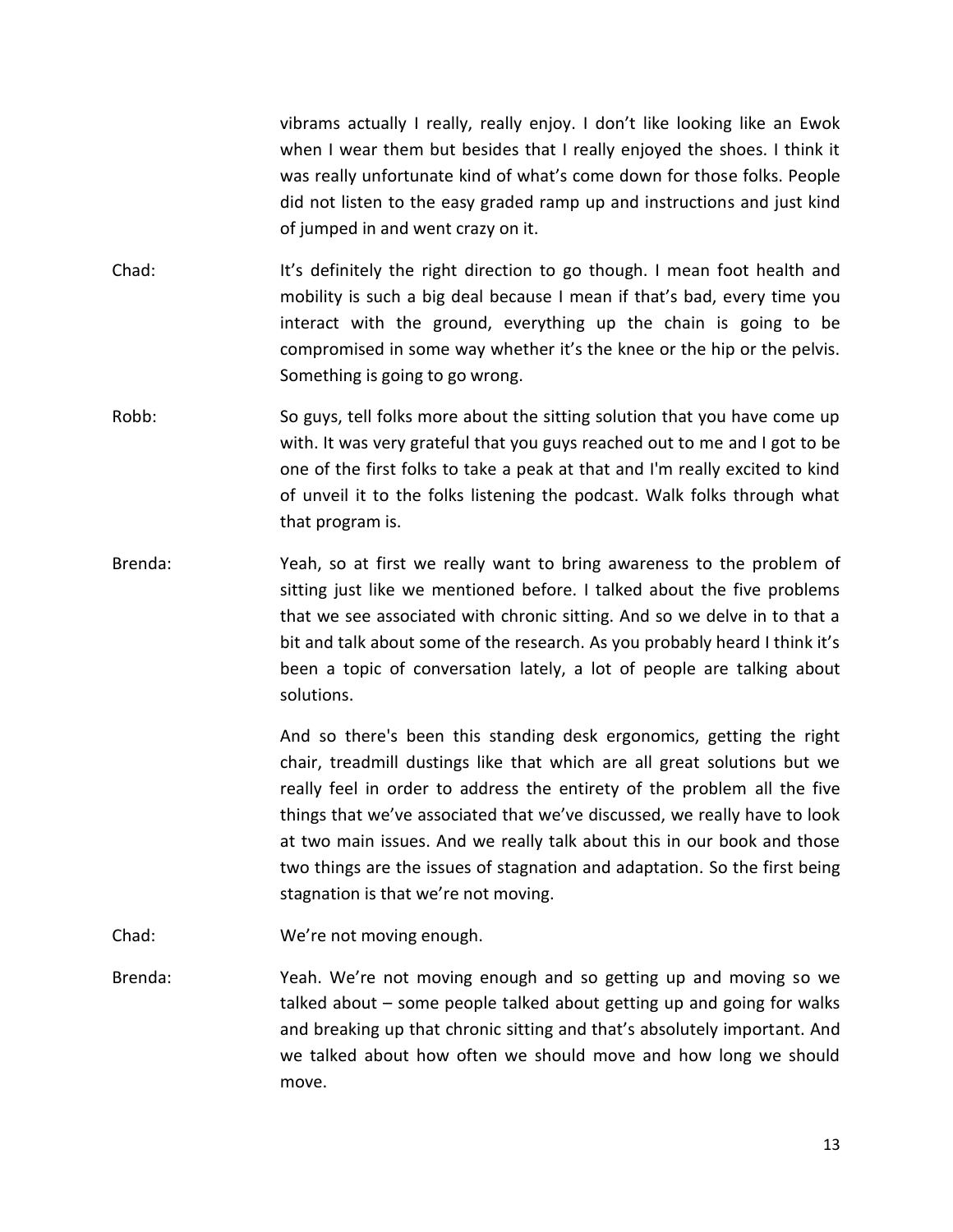vibrams actually I really, really enjoy. I don't like looking like an Ewok when I wear them but besides that I really enjoyed the shoes. I think it was really unfortunate kind of what's come down for those folks. People did not listen to the easy graded ramp up and instructions and just kind of jumped in and went crazy on it.

- Chad: It's definitely the right direction to go though. I mean foot health and mobility is such a big deal because I mean if that's bad, every time you interact with the ground, everything up the chain is going to be compromised in some way whether it's the knee or the hip or the pelvis. Something is going to go wrong.
- Robb: So guys, tell folks more about the sitting solution that you have come up with. It was very grateful that you guys reached out to me and I got to be one of the first folks to take a peak at that and I'm really excited to kind of unveil it to the folks listening the podcast. Walk folks through what that program is.
- Brenda: Yeah, so at first we really want to bring awareness to the problem of sitting just like we mentioned before. I talked about the five problems that we see associated with chronic sitting. And so we delve in to that a bit and talk about some of the research. As you probably heard I think it's been a topic of conversation lately, a lot of people are talking about solutions.

And so there's been this standing desk ergonomics, getting the right chair, treadmill dustings like that which are all great solutions but we really feel in order to address the entirety of the problem all the five things that we've associated that we've discussed, we really have to look at two main issues. And we really talk about this in our book and those two things are the issues of stagnation and adaptation. So the first being stagnation is that we're not moving.

- Chad: We're not moving enough.
- Brenda: Yeah. We're not moving enough and so getting up and moving so we talked about – some people talked about getting up and going for walks and breaking up that chronic sitting and that's absolutely important. And we talked about how often we should move and how long we should move.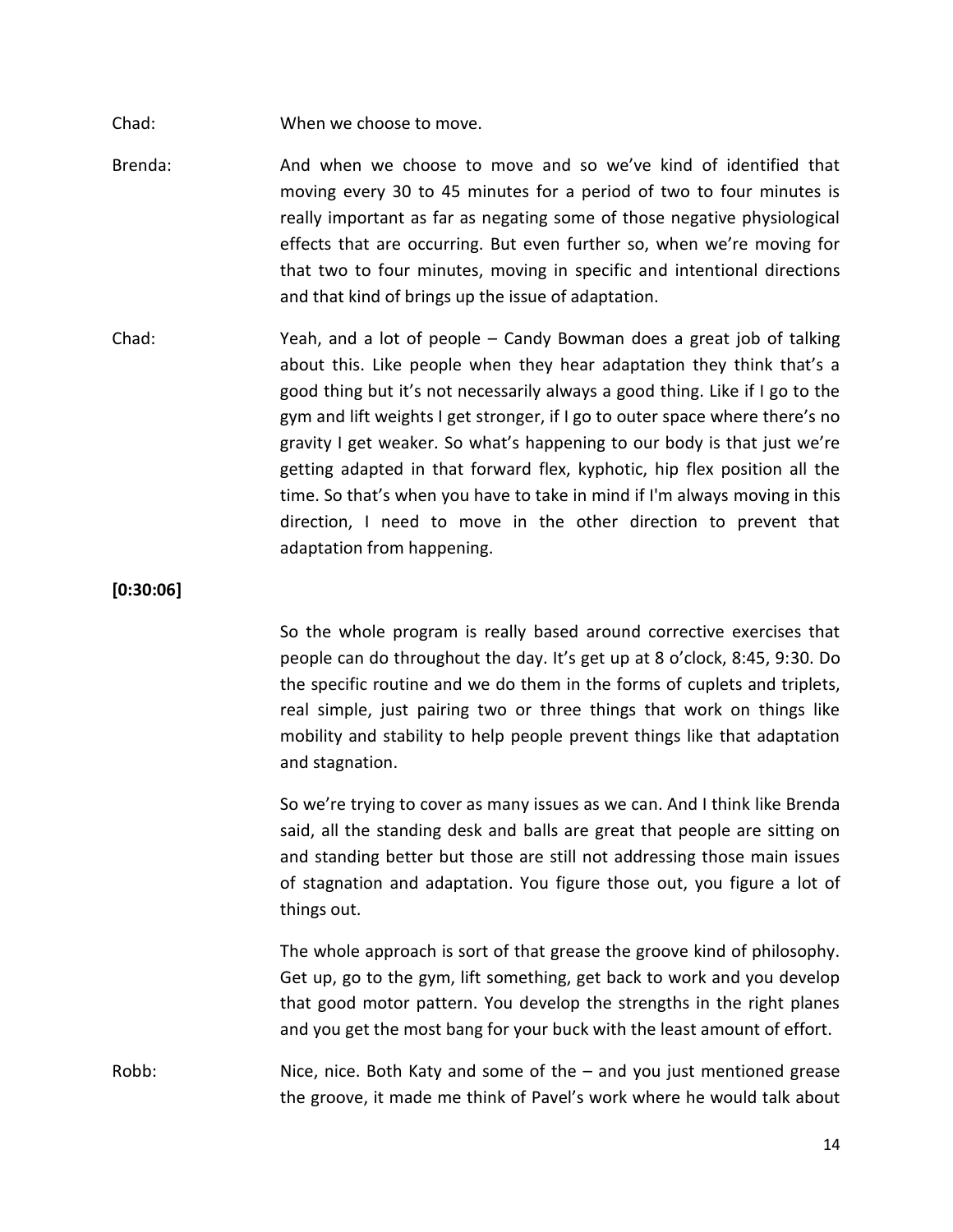Chad: When we choose to move.

- Brenda: And when we choose to move and so we've kind of identified that moving every 30 to 45 minutes for a period of two to four minutes is really important as far as negating some of those negative physiological effects that are occurring. But even further so, when we're moving for that two to four minutes, moving in specific and intentional directions and that kind of brings up the issue of adaptation.
- Chad: Yeah, and a lot of people Candy Bowman does a great job of talking about this. Like people when they hear adaptation they think that's a good thing but it's not necessarily always a good thing. Like if I go to the gym and lift weights I get stronger, if I go to outer space where there's no gravity I get weaker. So what's happening to our body is that just we're getting adapted in that forward flex, kyphotic, hip flex position all the time. So that's when you have to take in mind if I'm always moving in this direction, I need to move in the other direction to prevent that adaptation from happening.

**[0:30:06]**

So the whole program is really based around corrective exercises that people can do throughout the day. It's get up at 8 o'clock, 8:45, 9:30. Do the specific routine and we do them in the forms of cuplets and triplets, real simple, just pairing two or three things that work on things like mobility and stability to help people prevent things like that adaptation and stagnation.

So we're trying to cover as many issues as we can. And I think like Brenda said, all the standing desk and balls are great that people are sitting on and standing better but those are still not addressing those main issues of stagnation and adaptation. You figure those out, you figure a lot of things out.

The whole approach is sort of that grease the groove kind of philosophy. Get up, go to the gym, lift something, get back to work and you develop that good motor pattern. You develop the strengths in the right planes and you get the most bang for your buck with the least amount of effort.

Robb: Nice, nice. Both Katy and some of the – and you just mentioned grease the groove, it made me think of Pavel's work where he would talk about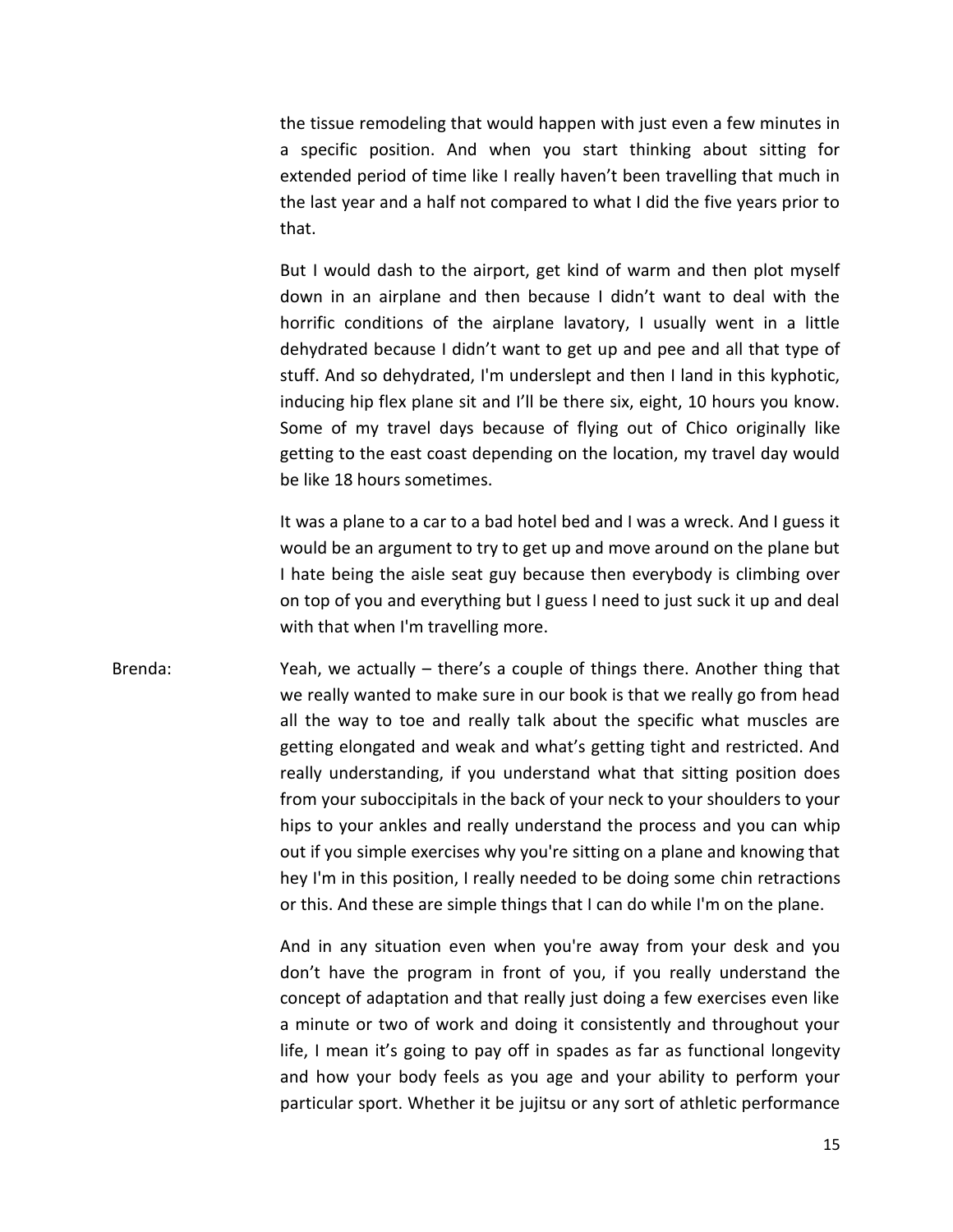the tissue remodeling that would happen with just even a few minutes in a specific position. And when you start thinking about sitting for extended period of time like I really haven't been travelling that much in the last year and a half not compared to what I did the five years prior to that.

But I would dash to the airport, get kind of warm and then plot myself down in an airplane and then because I didn't want to deal with the horrific conditions of the airplane lavatory, I usually went in a little dehydrated because I didn't want to get up and pee and all that type of stuff. And so dehydrated, I'm underslept and then I land in this kyphotic, inducing hip flex plane sit and I'll be there six, eight, 10 hours you know. Some of my travel days because of flying out of Chico originally like getting to the east coast depending on the location, my travel day would be like 18 hours sometimes.

It was a plane to a car to a bad hotel bed and I was a wreck. And I guess it would be an argument to try to get up and move around on the plane but I hate being the aisle seat guy because then everybody is climbing over on top of you and everything but I guess I need to just suck it up and deal with that when I'm travelling more.

### Brenda: Yeah, we actually – there's a couple of things there. Another thing that we really wanted to make sure in our book is that we really go from head all the way to toe and really talk about the specific what muscles are getting elongated and weak and what's getting tight and restricted. And really understanding, if you understand what that sitting position does from your suboccipitals in the back of your neck to your shoulders to your hips to your ankles and really understand the process and you can whip out if you simple exercises why you're sitting on a plane and knowing that hey I'm in this position, I really needed to be doing some chin retractions or this. And these are simple things that I can do while I'm on the plane.

And in any situation even when you're away from your desk and you don't have the program in front of you, if you really understand the concept of adaptation and that really just doing a few exercises even like a minute or two of work and doing it consistently and throughout your life, I mean it's going to pay off in spades as far as functional longevity and how your body feels as you age and your ability to perform your particular sport. Whether it be jujitsu or any sort of athletic performance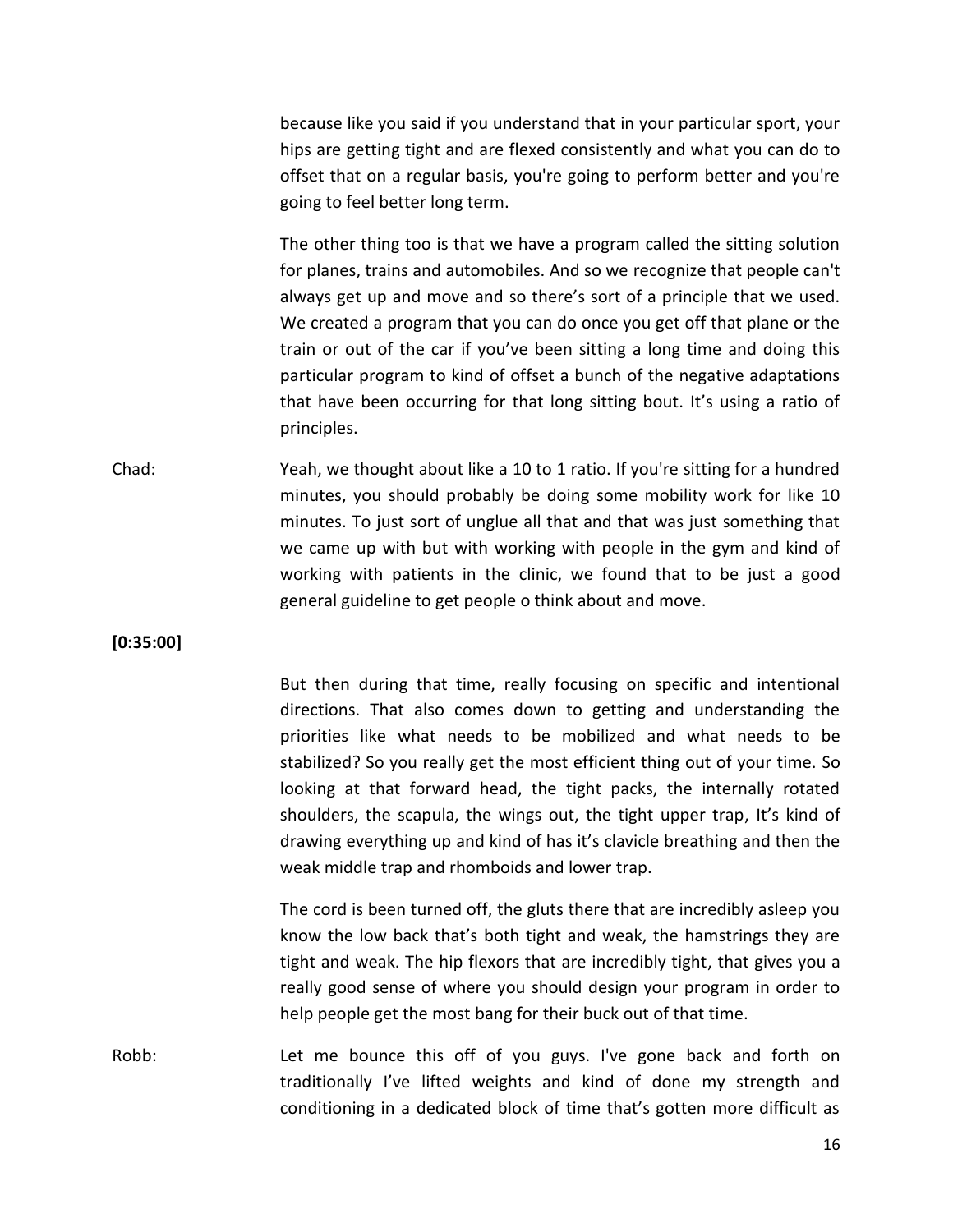because like you said if you understand that in your particular sport, your hips are getting tight and are flexed consistently and what you can do to offset that on a regular basis, you're going to perform better and you're going to feel better long term.

The other thing too is that we have a program called the sitting solution for planes, trains and automobiles. And so we recognize that people can't always get up and move and so there's sort of a principle that we used. We created a program that you can do once you get off that plane or the train or out of the car if you've been sitting a long time and doing this particular program to kind of offset a bunch of the negative adaptations that have been occurring for that long sitting bout. It's using a ratio of principles.

Chad: Yeah, we thought about like a 10 to 1 ratio. If you're sitting for a hundred minutes, you should probably be doing some mobility work for like 10 minutes. To just sort of unglue all that and that was just something that we came up with but with working with people in the gym and kind of working with patients in the clinic, we found that to be just a good general guideline to get people o think about and move.

**[0:35:00]**

But then during that time, really focusing on specific and intentional directions. That also comes down to getting and understanding the priorities like what needs to be mobilized and what needs to be stabilized? So you really get the most efficient thing out of your time. So looking at that forward head, the tight packs, the internally rotated shoulders, the scapula, the wings out, the tight upper trap, It's kind of drawing everything up and kind of has it's clavicle breathing and then the weak middle trap and rhomboids and lower trap.

The cord is been turned off, the gluts there that are incredibly asleep you know the low back that's both tight and weak, the hamstrings they are tight and weak. The hip flexors that are incredibly tight, that gives you a really good sense of where you should design your program in order to help people get the most bang for their buck out of that time.

Robb: Let me bounce this off of you guys. I've gone back and forth on traditionally I've lifted weights and kind of done my strength and conditioning in a dedicated block of time that's gotten more difficult as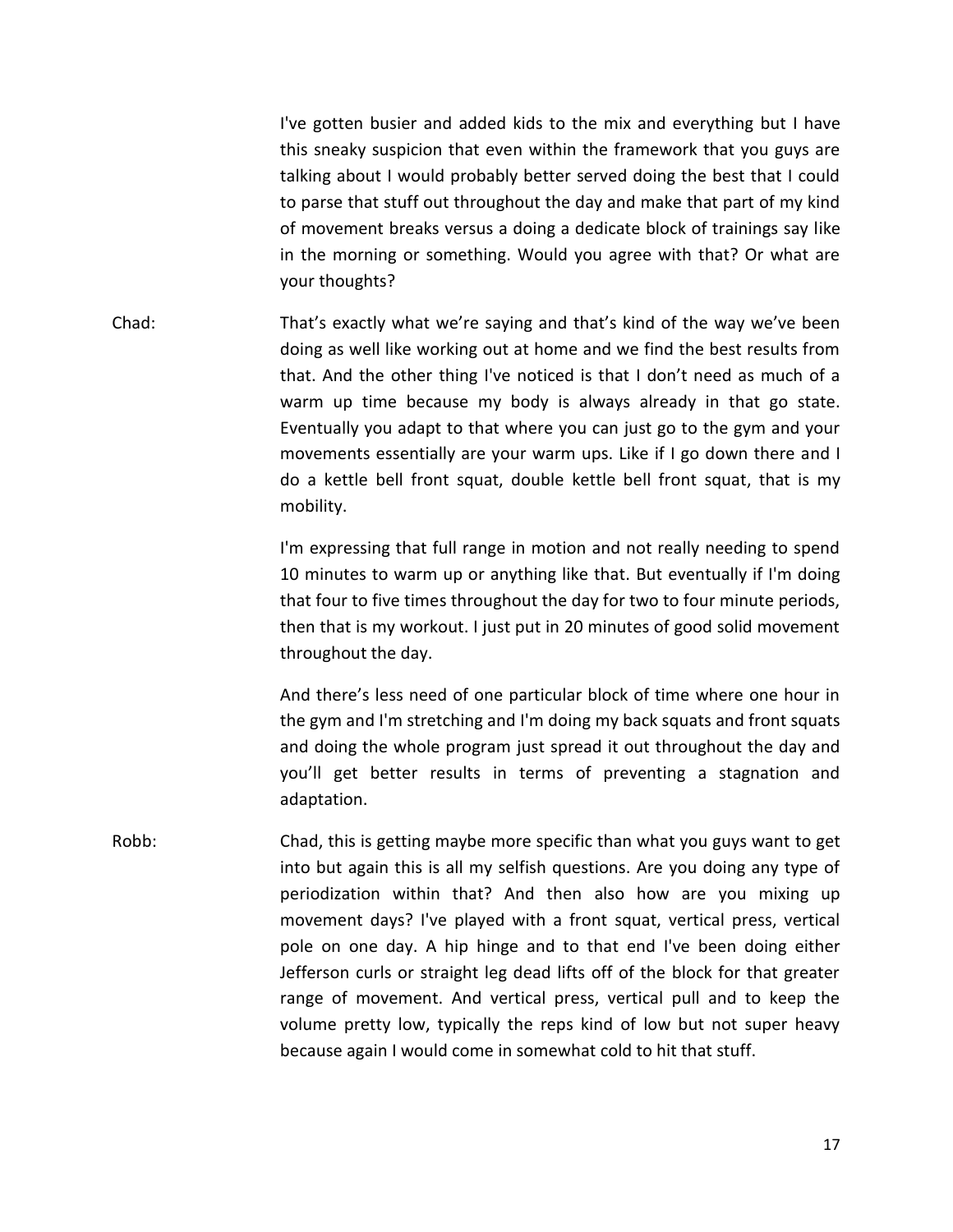I've gotten busier and added kids to the mix and everything but I have this sneaky suspicion that even within the framework that you guys are talking about I would probably better served doing the best that I could to parse that stuff out throughout the day and make that part of my kind of movement breaks versus a doing a dedicate block of trainings say like in the morning or something. Would you agree with that? Or what are your thoughts?

Chad: That's exactly what we're saying and that's kind of the way we've been doing as well like working out at home and we find the best results from that. And the other thing I've noticed is that I don't need as much of a warm up time because my body is always already in that go state. Eventually you adapt to that where you can just go to the gym and your movements essentially are your warm ups. Like if I go down there and I do a kettle bell front squat, double kettle bell front squat, that is my mobility.

> I'm expressing that full range in motion and not really needing to spend 10 minutes to warm up or anything like that. But eventually if I'm doing that four to five times throughout the day for two to four minute periods, then that is my workout. I just put in 20 minutes of good solid movement throughout the day.

> And there's less need of one particular block of time where one hour in the gym and I'm stretching and I'm doing my back squats and front squats and doing the whole program just spread it out throughout the day and you'll get better results in terms of preventing a stagnation and adaptation.

Robb: Chad, this is getting maybe more specific than what you guys want to get into but again this is all my selfish questions. Are you doing any type of periodization within that? And then also how are you mixing up movement days? I've played with a front squat, vertical press, vertical pole on one day. A hip hinge and to that end I've been doing either Jefferson curls or straight leg dead lifts off of the block for that greater range of movement. And vertical press, vertical pull and to keep the volume pretty low, typically the reps kind of low but not super heavy because again I would come in somewhat cold to hit that stuff.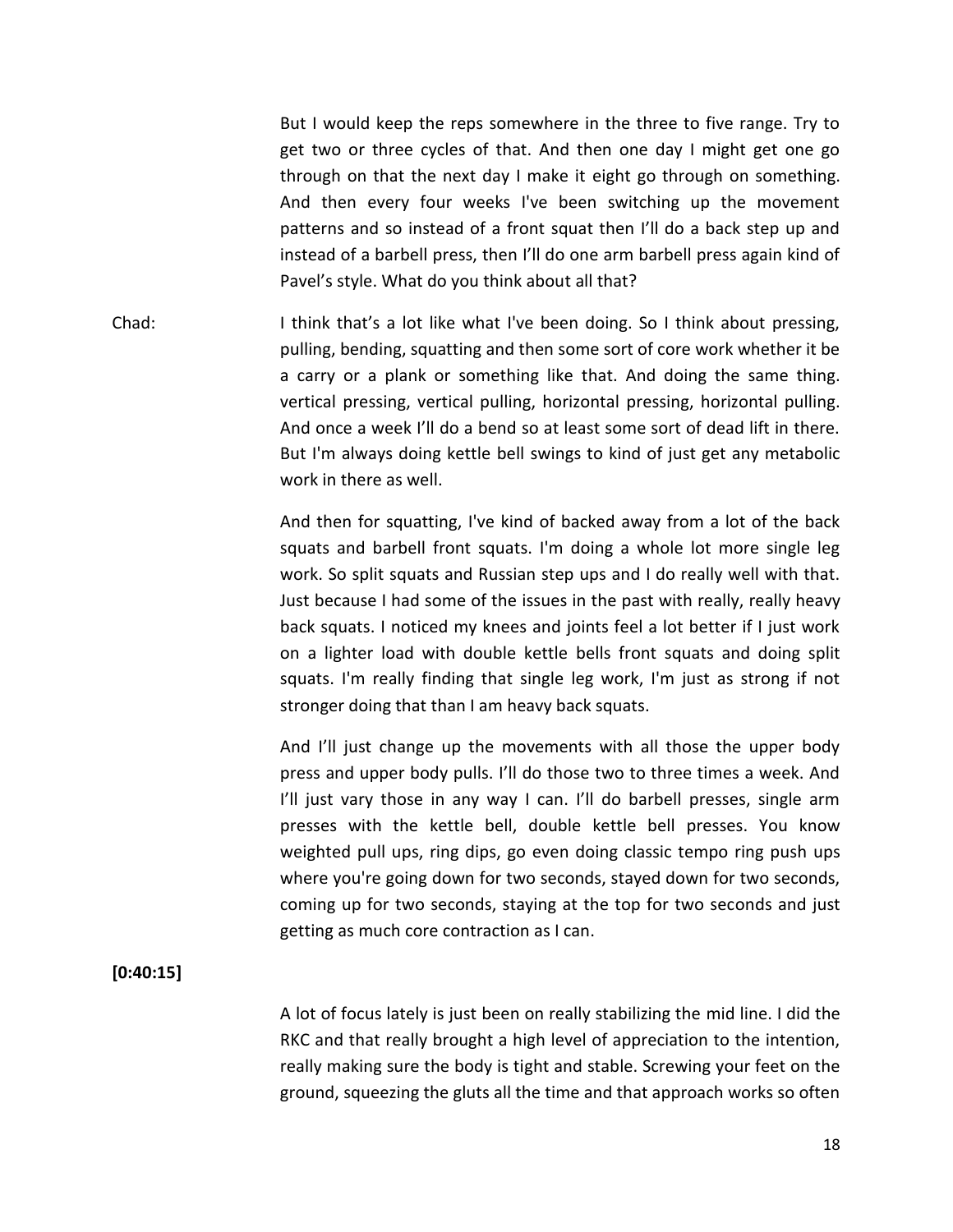But I would keep the reps somewhere in the three to five range. Try to get two or three cycles of that. And then one day I might get one go through on that the next day I make it eight go through on something. And then every four weeks I've been switching up the movement patterns and so instead of a front squat then I'll do a back step up and instead of a barbell press, then I'll do one arm barbell press again kind of Pavel's style. What do you think about all that?

Chad: I think that's a lot like what I've been doing. So I think about pressing, pulling, bending, squatting and then some sort of core work whether it be a carry or a plank or something like that. And doing the same thing. vertical pressing, vertical pulling, horizontal pressing, horizontal pulling. And once a week I'll do a bend so at least some sort of dead lift in there. But I'm always doing kettle bell swings to kind of just get any metabolic work in there as well.

> And then for squatting, I've kind of backed away from a lot of the back squats and barbell front squats. I'm doing a whole lot more single leg work. So split squats and Russian step ups and I do really well with that. Just because I had some of the issues in the past with really, really heavy back squats. I noticed my knees and joints feel a lot better if I just work on a lighter load with double kettle bells front squats and doing split squats. I'm really finding that single leg work, I'm just as strong if not stronger doing that than I am heavy back squats.

> And I'll just change up the movements with all those the upper body press and upper body pulls. I'll do those two to three times a week. And I'll just vary those in any way I can. I'll do barbell presses, single arm presses with the kettle bell, double kettle bell presses. You know weighted pull ups, ring dips, go even doing classic tempo ring push ups where you're going down for two seconds, stayed down for two seconds, coming up for two seconds, staying at the top for two seconds and just getting as much core contraction as I can.

#### **[0:40:15]**

A lot of focus lately is just been on really stabilizing the mid line. I did the RKC and that really brought a high level of appreciation to the intention, really making sure the body is tight and stable. Screwing your feet on the ground, squeezing the gluts all the time and that approach works so often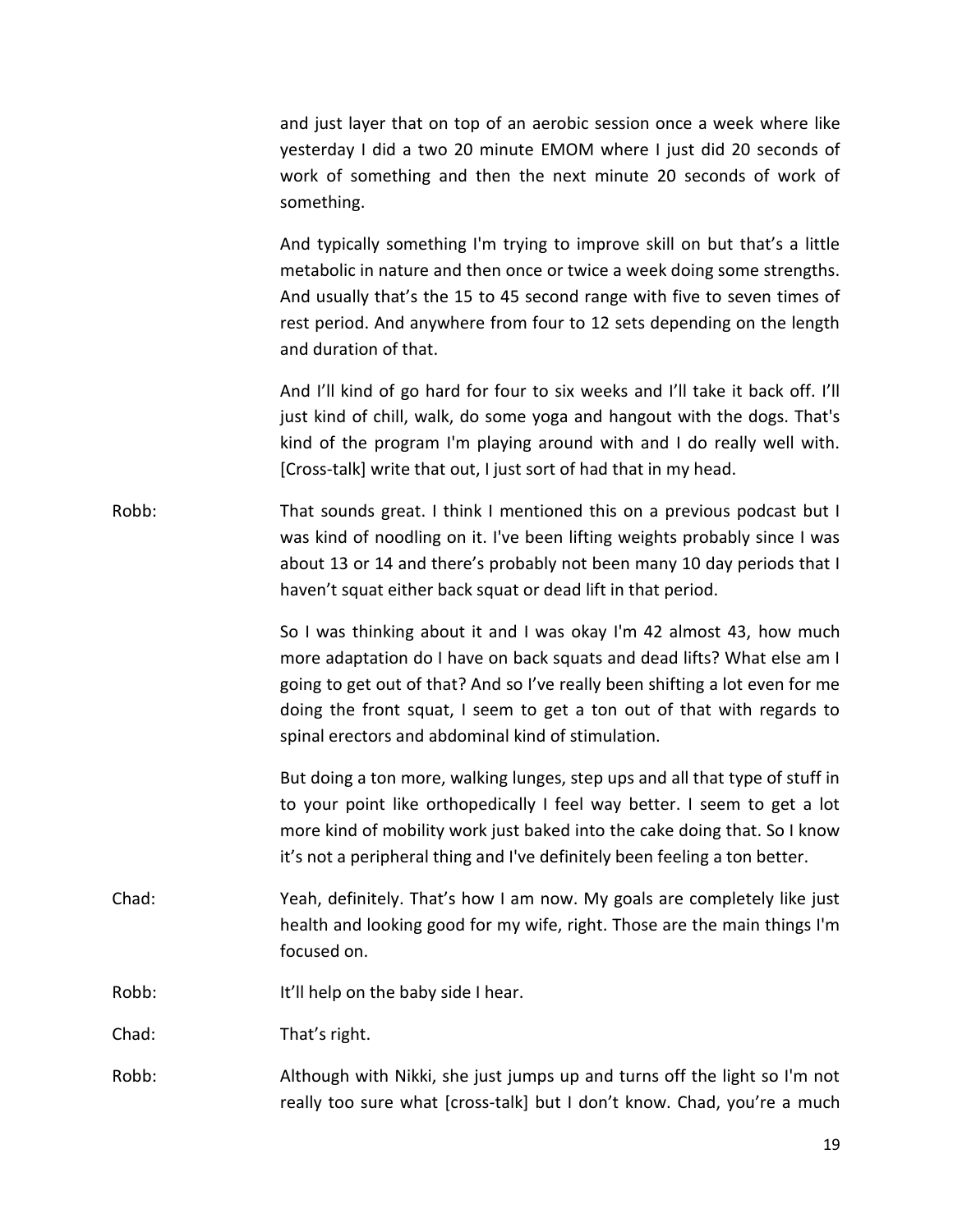and just layer that on top of an aerobic session once a week where like yesterday I did a two 20 minute EMOM where I just did 20 seconds of work of something and then the next minute 20 seconds of work of something.

And typically something I'm trying to improve skill on but that's a little metabolic in nature and then once or twice a week doing some strengths. And usually that's the 15 to 45 second range with five to seven times of rest period. And anywhere from four to 12 sets depending on the length and duration of that.

And I'll kind of go hard for four to six weeks and I'll take it back off. I'll just kind of chill, walk, do some yoga and hangout with the dogs. That's kind of the program I'm playing around with and I do really well with. [Cross-talk] write that out, I just sort of had that in my head.

Robb: That sounds great. I think I mentioned this on a previous podcast but I was kind of noodling on it. I've been lifting weights probably since I was about 13 or 14 and there's probably not been many 10 day periods that I haven't squat either back squat or dead lift in that period.

> So I was thinking about it and I was okay I'm 42 almost 43, how much more adaptation do I have on back squats and dead lifts? What else am I going to get out of that? And so I've really been shifting a lot even for me doing the front squat, I seem to get a ton out of that with regards to spinal erectors and abdominal kind of stimulation.

> But doing a ton more, walking lunges, step ups and all that type of stuff in to your point like orthopedically I feel way better. I seem to get a lot more kind of mobility work just baked into the cake doing that. So I know it's not a peripheral thing and I've definitely been feeling a ton better.

- Chad: Yeah, definitely. That's how I am now. My goals are completely like just health and looking good for my wife, right. Those are the main things I'm focused on.
- Robb: It'll help on the baby side I hear.

Chad: That's right.

Robb: Although with Nikki, she just jumps up and turns off the light so I'm not really too sure what [cross-talk] but I don't know. Chad, you're a much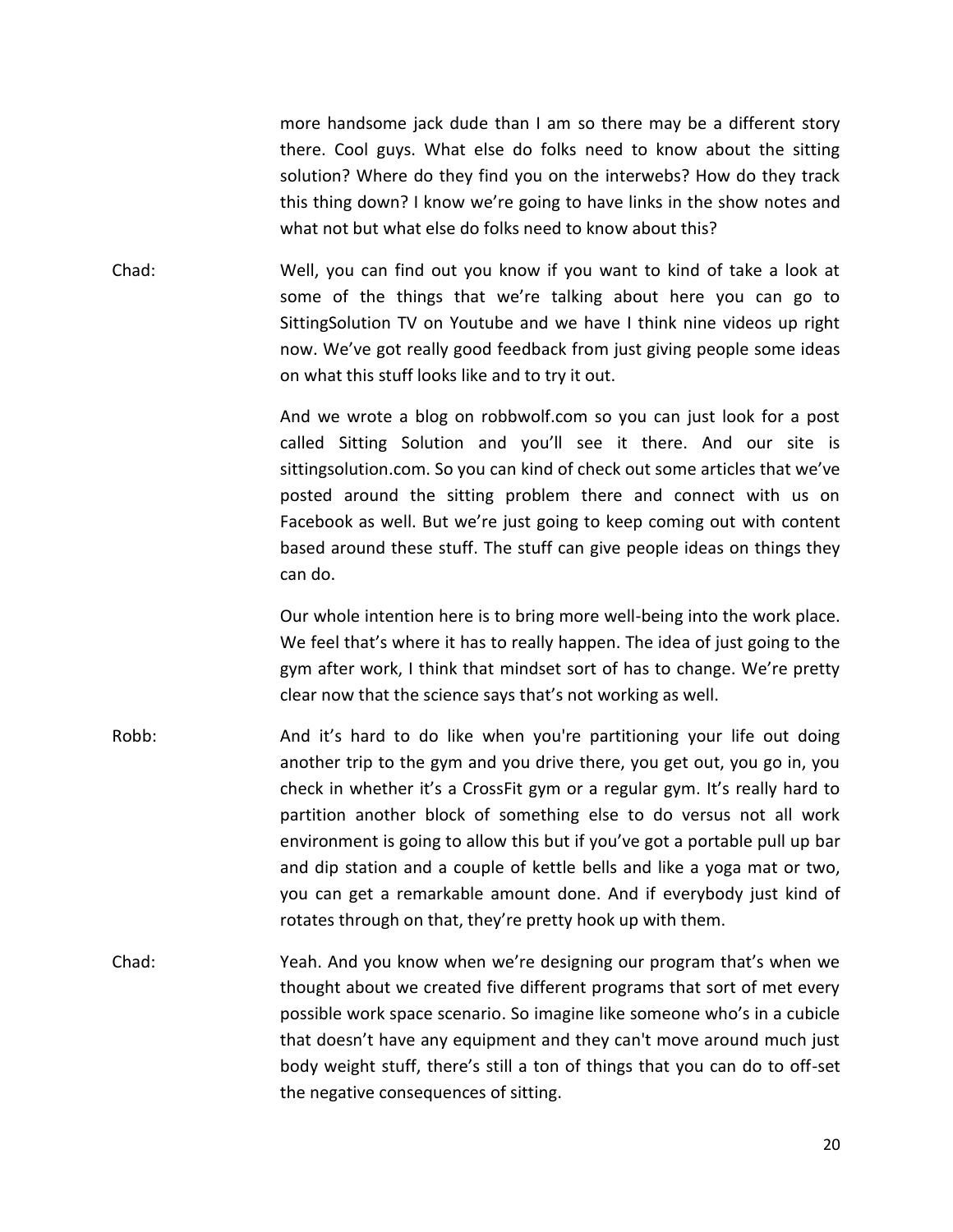more handsome jack dude than I am so there may be a different story there. Cool guys. What else do folks need to know about the sitting solution? Where do they find you on the interwebs? How do they track this thing down? I know we're going to have links in the show notes and what not but what else do folks need to know about this?

Chad: Well, you can find out you know if you want to kind of take a look at some of the things that we're talking about here you can go to SittingSolution TV on Youtube and we have I think nine videos up right now. We've got really good feedback from just giving people some ideas on what this stuff looks like and to try it out.

> And we wrote a blog on robbwolf.com so you can just look for a post called Sitting Solution and you'll see it there. And our site is sittingsolution.com. So you can kind of check out some articles that we've posted around the sitting problem there and connect with us on Facebook as well. But we're just going to keep coming out with content based around these stuff. The stuff can give people ideas on things they can do.

> Our whole intention here is to bring more well-being into the work place. We feel that's where it has to really happen. The idea of just going to the gym after work, I think that mindset sort of has to change. We're pretty clear now that the science says that's not working as well.

- Robb: And it's hard to do like when you're partitioning your life out doing another trip to the gym and you drive there, you get out, you go in, you check in whether it's a CrossFit gym or a regular gym. It's really hard to partition another block of something else to do versus not all work environment is going to allow this but if you've got a portable pull up bar and dip station and a couple of kettle bells and like a yoga mat or two, you can get a remarkable amount done. And if everybody just kind of rotates through on that, they're pretty hook up with them.
- Chad: Yeah. And you know when we're designing our program that's when we thought about we created five different programs that sort of met every possible work space scenario. So imagine like someone who's in a cubicle that doesn't have any equipment and they can't move around much just body weight stuff, there's still a ton of things that you can do to off-set the negative consequences of sitting.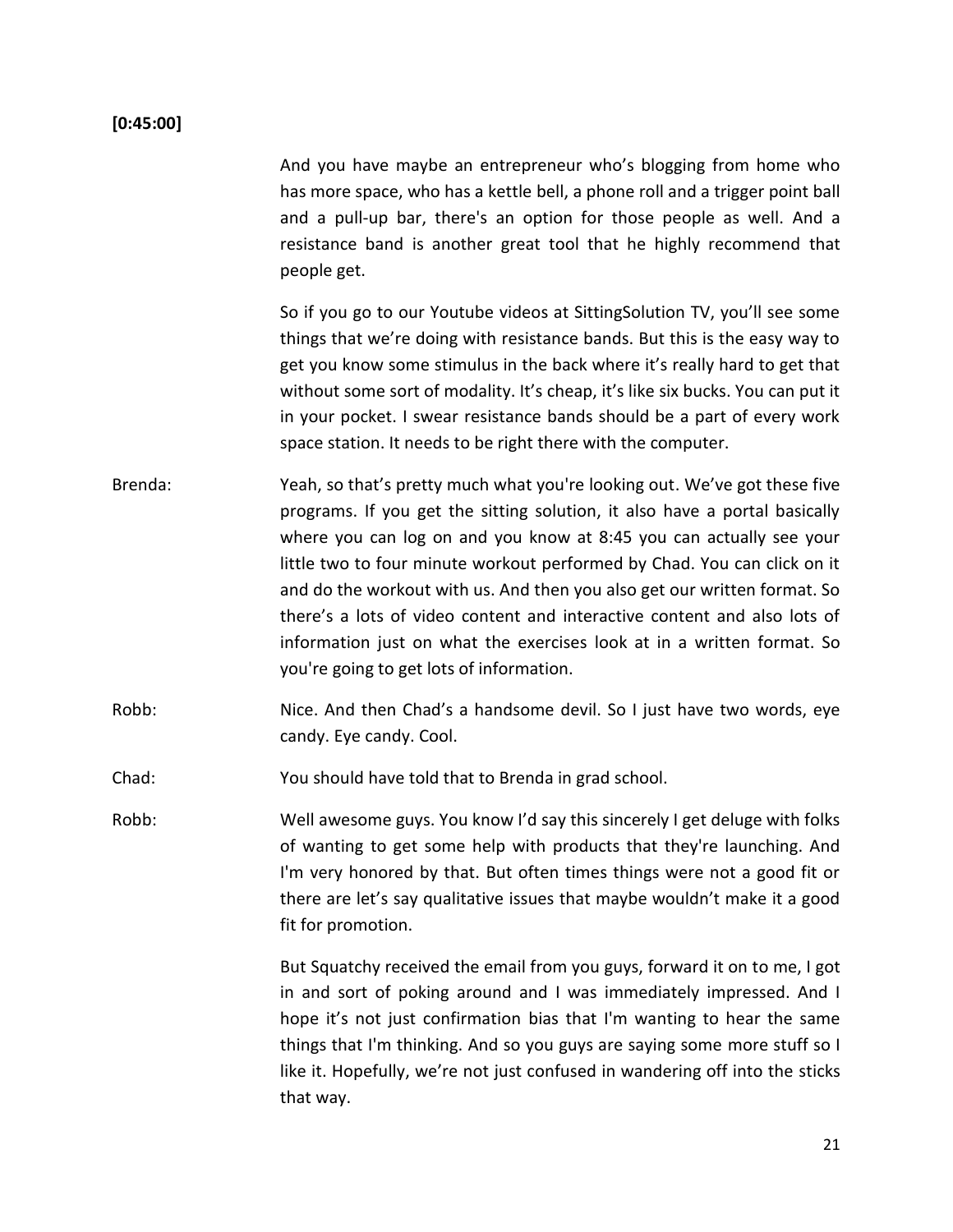#### **[0:45:00]**

And you have maybe an entrepreneur who's blogging from home who has more space, who has a kettle bell, a phone roll and a trigger point ball and a pull-up bar, there's an option for those people as well. And a resistance band is another great tool that he highly recommend that people get.

So if you go to our Youtube videos at SittingSolution TV, you'll see some things that we're doing with resistance bands. But this is the easy way to get you know some stimulus in the back where it's really hard to get that without some sort of modality. It's cheap, it's like six bucks. You can put it in your pocket. I swear resistance bands should be a part of every work space station. It needs to be right there with the computer.

- Brenda: Yeah, so that's pretty much what you're looking out. We've got these five programs. If you get the sitting solution, it also have a portal basically where you can log on and you know at 8:45 you can actually see your little two to four minute workout performed by Chad. You can click on it and do the workout with us. And then you also get our written format. So there's a lots of video content and interactive content and also lots of information just on what the exercises look at in a written format. So you're going to get lots of information.
- Robb: Nice. And then Chad's a handsome devil. So I just have two words, eye candy. Eye candy. Cool.
- Chad: You should have told that to Brenda in grad school.

Robb: Well awesome guys. You know I'd say this sincerely I get deluge with folks of wanting to get some help with products that they're launching. And I'm very honored by that. But often times things were not a good fit or there are let's say qualitative issues that maybe wouldn't make it a good fit for promotion.

> But Squatchy received the email from you guys, forward it on to me, I got in and sort of poking around and I was immediately impressed. And I hope it's not just confirmation bias that I'm wanting to hear the same things that I'm thinking. And so you guys are saying some more stuff so I like it. Hopefully, we're not just confused in wandering off into the sticks that way.